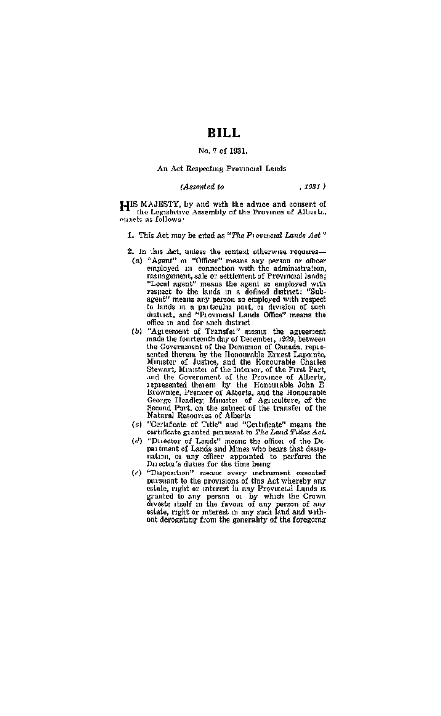## RILL.

## No. 7 of 1931.

## An Act Respecting Provincial Lands

#### (Assented to

 $, 1931)$ 

LIIS MAJESTY, by and with the advice and consent of the Legislative Assembly of the Province of Alberta. ennels as follows

- 1. This Act may be cited as "The Provenceal Lands Act"
- 2. In this Act, unless the context otherwise requires-(a) "Agent" or "Officer" means any person or officer<br>employed in connection with the administration. management, sale or settlement of Provincial lands; "Local agent" means the agent so employed with<br>respect to the lands in a defined district; "Subagent" means any person so employed with respect to lands in a particular part, or division of such district, and "Provincial Lands Office" means the office in and for such district
- (b) "Agreement of Transfer" means the agreement "Agiesment of Transfer" means the agreement<br>made the fourteenth day of December, 1929, between<br>the Government of the Dommon of Canada, resisthe Government of the Domanton of Canada, repro-<br>screed therein by the Homourable Enast Lapousto.<br>Minister of Justice, and the Homourable Chaules<br>Stwart, Minister of Justice, and the Homourable Chaules<br>and the Government separated under the Bloom and Sheria, and the Honourable Brownice, Premier of Alberta, and the Honourable<br>George Hoadley, Minutter of Agriculture, of the Second Part, on the saligest of the transfer of the<br>Natural Resource
- (c) "Certaficate of Title" and "Certaficate" means the certaficate granted persuant to The Land Titles Act.
- (d) 'Ducetor of Lands' means the offices of the Department of Lands' means the offices of the Department of Lands and Munes who bears that desigpatien, or any officer appointed to perform the nation, or any officer appointed to perform the
- (c) "Disposition" means every instrument executed<br>pursuant to the provisions of this Act whereby any estate, right or interest in any Provincial Lands is granted to any person of by which the Crown<br>divests itself in the favour of any person of any<br>esiste, right or interest in any such land and without derogating from the generality of the foregoing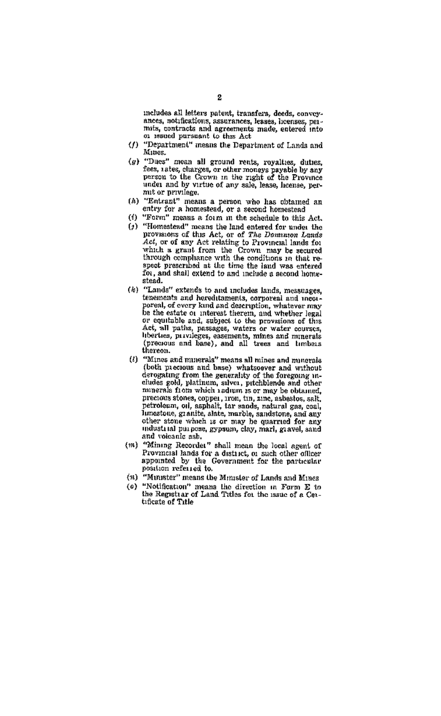includes all letters patent, transfers, deeds, convey, ances, notifications, assurances, lesses, hoenses, per-<br>mits, contracts and agreements made, entered into or resued pursuant to this Act

- (f) "Department" means the Department of Lands and Mines.
- (g) "Ducs" mean all ground rents, reyalties, duties, Duces molar an ground ream, reynance, unice,<br>fees, rates, charges, or other moneys payable by any<br>person to the Crown in the right of the Province under and by virtue of any sale, lease, heense, permit or privilege.
- (A) "Entrant" means a person who has obtained an entry for a homestead, or a second homestead
- (f) "Form" means a form in the schedule to this Act. (5) "Homestead" means the land entered for under the provisions of thus Act, or of The Dominenn Lands<br>Act, or of any Act relating to Provincial lands for which a grant from the Crown may be secured spect prescribed at the time the land was entered for, and shall extend to and include a second home-

stead

- (b) "Lands" extends to and includes lands, messages, tenements and hereditaments, corporesi and incorporcal, of every kind and determinion, whatever may<br>be the estate or interest therein, and whether legal<br>or equitable and, subject to the provisions of this Act, all paths, passages, waters or water courses, nce, an pains, passages, waters or water courses,<br>liberties, paivileges, easements, mines and minerals<br>(bregious and base), and all trees and timbers thereon.
- (0) "Mines and minerals" means all mines and minerals numes and numerous and base) whatsoever and writered<br>(both precious and base) whatsoever and writered<br>derogating from the generality of the foregoing in-<br>cludes gold, platinum, salver, pitchblende and other minerals from which redium is or may be obtained, precious stones, copper, iron, tin, zine, asbestos, salt.<br>petroleam, oil, asphalt, tar sands, natural gas, coal, luncatone, granite, alate, marble, sandatone, and any industrial purpose, gypsum, clay, marl. gravel, sand and voicante ash.
- (m) "Mining Recordes" shall mean the local agent of Provincial lands for a district, or such other officer<br>appointed by the Government for the particular position referred to.
- (\*) "Minister" means the Minister of Lands and Mines
- (e) "Notification" means the direction in Form E to the Registrar of Land Titles for the issue of a Certificate of Title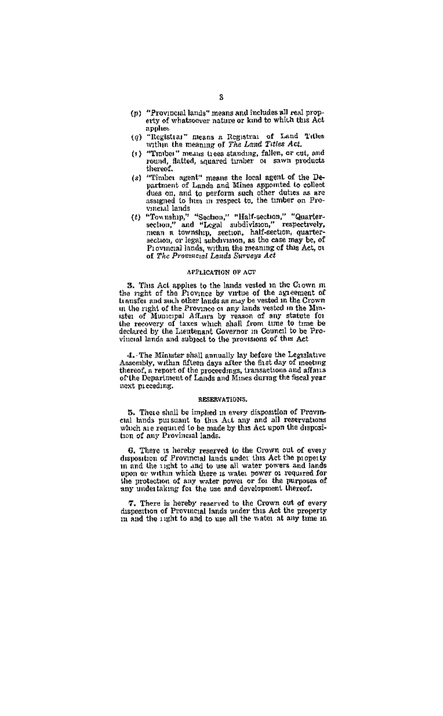- (p) "Provincial lands" means and includes all real property of whatsoever nature or kind to which this Act applies
- (a) "Registrar" means a Registrar of Land Titles within the meaning of The Land Titles Act.
- (+) "Timber" means trees standing, fallen, or cut, and
- (s) "Timber agent" means the local agent of the De--infiment of Lands and Mines appointed to collect<br>partner of Lands and Mines appointed to collect<br>dass on, and to perform such other duties as are<br>assigned to him in respect to, the timber on Provincial lands
- vinctat music "Sechon," "Half-section," "Quarter-<br>section," and "Legal subdivisson," respectively,<br>mean a township, section, half-section, quarter-<br>section, or legal subdivision, as the case may be, of Provincial lands, within the meaning of this Act, or of The Provincial Lands Surveys Act

### APPLICATION OF ACT

3. This Act applies to the lands vested in the Crown m the right of the Province by virtue of the agreement of transfer and such other lands as may be vested in the Crown in the right of the Province or any lands vested in the Minin the right of the Province of any allow visitor for the anti-<br>tele of Municipal Affairs by reason of any statute for<br>the recovery of taxes which shall from time to time be<br>declared by the Lauttenant Governor in Council t vinceal lands and subject to the provisions of this Act

4. The Minuter shall annually lay before the Legislative Assembly, within fifteen days after the fast day of meeting thereof, a report of the proceedings, transactions and affairs of the Department of Lands and Mines during the fiscal year uext preceding.

## RESERVATIONS.

5. These shall be implied in every disposition of Provinctal lands pursuant to this Act any and all reservations one moves puresserve of this Act any and all reservations which are required to be made by this Act upon the disposition of any Provincial lands.

G. There is hereby reserved to the Crown out of every<br>disposition of Provincial lands under this Act the property in and the right to and to use all water powers and lands upon or within which there is water power or required for the protection of any water power or for the purposes of any undertaking for the use and development thereof.

7. There is hereby reserved to the Crown out of every disposition of Provincial lands under this Act the property m and the unit to and to use all the water at any time in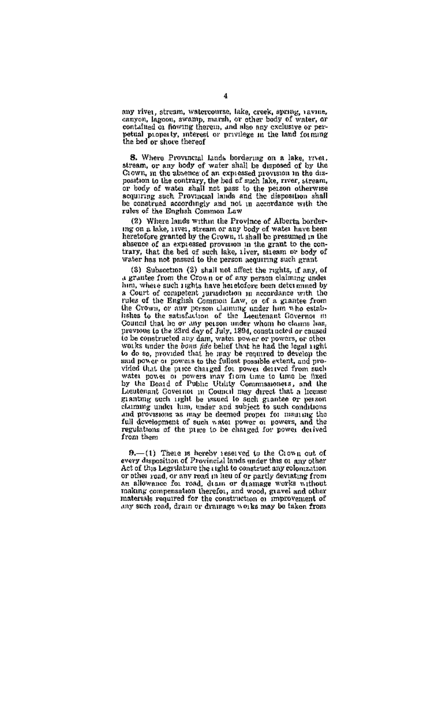any river, stream, watercourse, lake, creek, aprilur, rayme, canyon, lagoon, awamp, marsh, or other body of water, or contained or flowing therein, and size any exclusive or perpetual property, interest or privilege in the land forming

S. Where Provincial Linds bordering on a lake, rivet, stream, or any body of water shall be disposed of by the Grown, in the absence of an expressed provision in the disnown, in the automas of an expressed provision in the currence of the contrary, the bed of such lake, river, stream, or body of water aball not pass to the person otherwise accurring and the person otherwise be construed accordingly and not in accordance with the rules of the English Common Law

(2) Where lands within the Province of Alberta borderis the primary within the externe of Alexan porter-<br>ing on a lake, ives, stream or any body of water have been<br>heretofore granted by the Grown, it shall be presumed in the absence of an expressed provision in the grant to the con-<br>trary, that the bed of such lake, tiver, stream or body of water has not passed to the person aequiring such grant

(3) Subsection (2) shall not affect the rights, if any, of a grantee from the Grown or of any nerson elaimmy under him, where such rights have beneficieve been determined by a Court of competent jurisdiction in accordance with the<br>rules of the English Common Law, or of a grantee from the Crown, or any present dominate, or or a guarage rion<br>lishes to the saturlation of the Leentenant Governor m rence to the saxioution of the assumpts to claims has, previous to the 23rd day of July, 1894, constructed or caused to be constructed any dam, water power or powers, or other to be constructed any dam, water power or powers, or other to do so, provided that he may be required to develop the said power or powers to the fullest possible extent, and prostate prior is presented in power served from such vides that the price charged for power derived from such water parent of the most of Poblac Unity Communisonels, and the David Laudensin Council and the David Laudensin Re granting under him, under and subject to such conditions claiming under him, under and subject to such conditions catally provisions as may be deemed proper for meaning the full development of such water power or powers, and the regulations of the page to be changed for power additional from them

 $9. - (1)$  These is hereby sessived to the Crown out of every disposition of Provincial lands under this or any other Act of this Legislature the right to construct any colonization<br>or other road, or any med in lieu of or partly deviating from an allowance for road, dram or dramage works without making compensation therefor, and wood, gravel and other<br>materials required for the construction of improvement of any such road, drain or dramage works may be taken from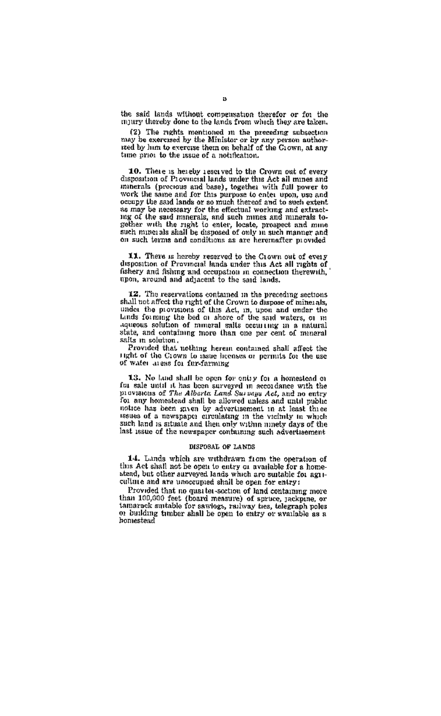the said lands without compensation therefor or for the ing said move wrongs, components, then they are taken.

(2) The rights mentioned in the preceding subsection<br>may be exercised by the Minister or by any person author-<br>red by lum to exercise them on behalf of the Grown, at any time prior to the issue of a notification.

10. There is hereby reserved to the Crown out of every<br>disposition of Provincial lands under this Act all mines and<br>minerals (precious and base), together with full power to work the same and for this purpose to eaten upon, use and for the same and for this purpose to compy the said long, as may be necessary for the effectual working and extractsug of the said minerals, and such mines and minerals tosuch miperals shall be disposed of only in such manner and on such terms and conditions as are hereinafter movided

XX. There is hereby received to the Crown out of every disposition of Provincial lands under this Act all rights of fishery and fishing and occupation in connection therewith, upon, around and adjacent to the said lands.

12. The reservations contained in the preceding sections. shall not affect the right of the Grown to dispose of minerals, ander the provisions of this Act, in, upon and under the squeous solution of mmeral sails occurring in a natural state, and containing more than one ner cent of mineral salts in solution

Provided that nothing herein contained shall affect the right of the Crown to issue incenses or permits for the use of water areas for fur-farming

13. No land shall be open for only for a homestead or Let such that some or open tor one y tell is noncessed in fact such it is that been anywayed in secondance with the provisions of The Alberta Land Sarvays Act, and no entry for any homostead shall be allowed unless and unt notice has been given by advertisement in at least thice senes of a newspaper circulating in the vicinity in which assues or a newspaper carenaming or an increase in comparison last issue of the newspaper containing such advertisement

#### DISPOSAL OF LANDS

14. Lands which are withdrawn from the operation of this Act shall not be open to entry a available for a home-<br>stend, but other aurveyed lands which are suitable for a gaiculture and are unoccupied shall be open for entry:

Provided that no quarter-section of land containing more than 100,000 feet (board measure) of spruce, rackpine, or than thousand new treatmentary to spring more inor building timber shall be onen to entry or available as a homestead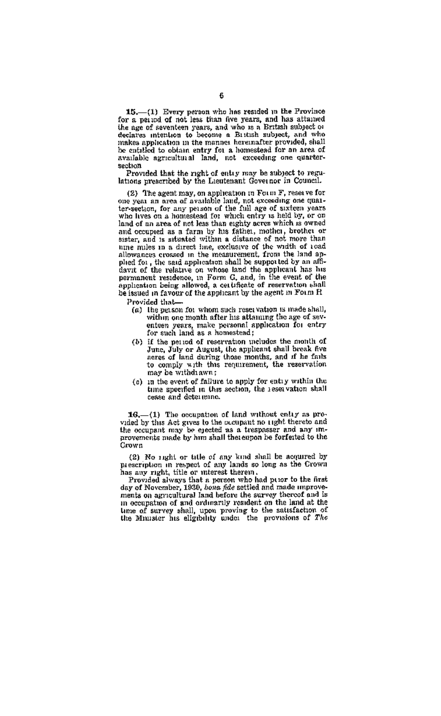15. (1) Every person who has resided in the Province for a period of not less than five years, and has attained the age of seventeen years, and who is a British subject of declares intention to become a British subject, and who declares intention to become a Biltish subject, and who<br>makes application in the manner hereinafter provided, shall<br>be entitled to ebiain entry for a homested for an area of<br>available acricultural land, not exceeding one q montan

Provided that the right of entry may be subject to regulations prescribed by the Lieutenant Governor in Council.

(2) The agent may, on application in Form F, reserve for one year an area of available land, not exceeding one quarthe year an area of available land, not excluding one quar-<br>ter-section, for any person of the full age of surfers years land of an area of not less than eighty acres which is owned and occupied as a farm by his father, mother, brother or sister, and is situated within a distance of not more than allowances an direct line, exclusive of the width of tool plied for, the said application shall be supported by an affi precent of the relative on whose land we supported by an animalism has been controlled that the permanent residence, in Form G, and, in the event of the opplication being allowed, a certificate of reservation islall be issued in favour of the applicant by the agent in Form R

Provided that-

- (a) the peason for whom such reservation is made shall,<br>within one month after his attaining the age of sevextern you around state his application for entry<br>for such land as a homestead;
- (b) if the nerrod of reservation meludes the month of June. July or August. the applicant shall break five vanc, vary or August, the apparent small break five<br>seres of land during those months, and if he fails<br>to comply with this requirement, the reservation may be withdrawn:
- (c) in the event of failure to apply for entry within the time specified in this section, the reservation shall rease and determine.

16. (1) The occupation of land without coliv as provided by this Act gives to the occupant no right thereto and the occupant may be ejected as a trespasser and any improvements pade by him shall thereupon be forferted to the Crown

(2) No right or title of any kind shall be acquired by prescription in respect of any lands so long as the Grown has any right, title or interest therein.

Provided always that a person who had prior to the first ary of November, 1939, hows fide settled and made improvements on agricultural land before the survey thereof and is in occupation of and ordinarily resident on the land at the time of survey shall, upon proving to the satisfaction of the Muiater his elevable under the provisions of The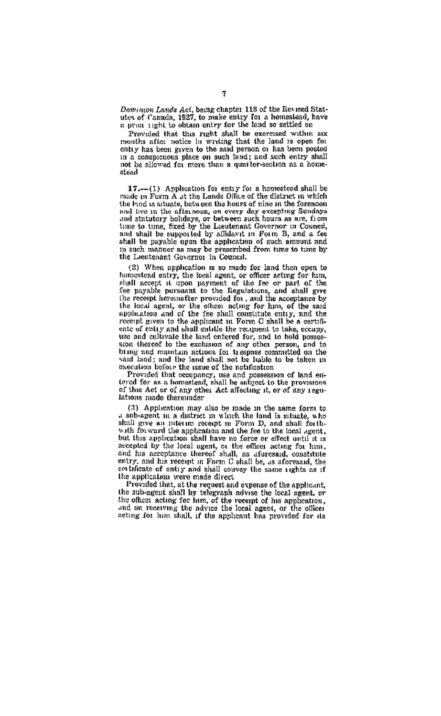Domonov Lands Act, being chapter 113 of the Revised Stat-<br>utes of Canada, 1927, to make entry for a homestead, have<br>a prior right to obtain entry for the land so settled on

Provided that this right shall be exercised within six months after notice in writing that the land is open for onty has been given to the said person of has been posted in a conspicuous place on such land; and such entry shall not be allowed for more than a quarter-section as a home- $14.1$ 

 $17.$  (1) Application for entry for a homestead shall be made in Form A at the Lands Office of the district in which the had a situate, between the hours of nine in the forescon or runs annotation on every day excepting Sandays<br>and the in the afternoon, on every day excepting Sandays<br>and statutory holidays, or between such hours as are, from<br>time to time, fixed by the Lieuterant Governor in Counci shall be payable upon the application of such amount and in such manner as may be prescribed from time to time by the Leeutenant Governor in Council.

(2) When application is so made for land then open to estead entry, the local agent, or officer acting for him, shall accept it upon payment of the fee or part of the<br>shall accept it upon payment of the fee or part of the<br>fee payable pursuant to the Regulations, and shall give the recept hereinafter provided for , and the acceptance by the local agent, or the office acting for hm, of the said<br>application and of the fee shall constitute entry, and the<br>recent given to the applicant in Form C shall be a certifiente of entry and shall mittle the recupent to take, eccupy, use and caltivate the land entered for, and in hold necessary sion thereof to the exclusion of any other person, and to said land; and the land shall not be hable to be taken in execution before the usue of the natification

Provided that occupancy, use and possession of land entered for as a homestead, shall be subject to the provisions of this Act or of any other Act affecting it, or of any regulations made thereunder

(3) Application may also be made in the same form to sub-agent m a district in which the land is situate, who shall give an intern recent in Form D, and shall forthwith forward the application and the fee to the local agent, what rootward the application field have no force or effect until it is<br>but this application shall have no force or effect until it is<br>accepted by the local negative intendence and the second start and<br>finite and finite se estimate of entry and shall convey the same rights as if the application were made direct

Provided that, at the request and expense of the applicant, the sub-agent shall by telegraph advise the local agent, or the officer acting for hun, of the recept of his application, and on receiving the advice the local agent, or the officer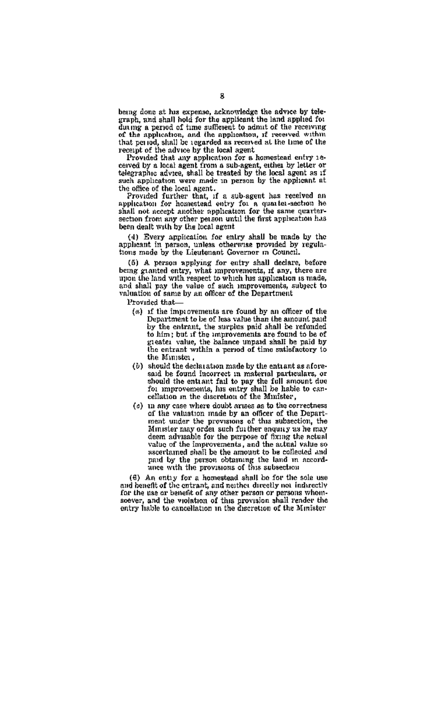being done at his expense, acknowledge the advice by tele-<br>graph, and shall hold for the applicant the land applied for during a period of time sufferent to admit of the receiving waving a peared of the sourcege to squite of the receiving that period, shall be regarded as received at the time of the that period, shall be regarded as received at six one come of the advice by the local agent.<br>Provided that any application for a homestead entry 16-

ceived by a local agent from a sub-agent, either by letter or teleoraphic advise, shall be treated by the local agent as if such application were made in person by the applicant at

such application were more in person by the suppressive<br>the office of the local agent.<br>Provided further that, if a sub-agent has received an<br>application for homestead outry for a quantic-acchon he<br>shall not accept another section from any other person until the first application has been dealt with by the local agent

(4) Every application for entry shall be made by the applicated in person, unless otherwise provided by regula-<br>tions made by the Liestenant Governor in Council.

(5) A person applying for entry shall declare, before being granted entry shat may also being praise, before are<br>unit in any, there are a many convenients, if any, there are to land with respect to which his application is made, and shall pay the value of auch improvements, subject to<br>valuation of same by an officer of the Department

Provided that...

- (a) if the improvements are found by an officer of the Department to be of less value than the amount paid by the entrant, the surplus paid shall be refunded to him; but if the improvements are found to be of<br>greates value, the balance unpaid shall be paid by<br>the entrant within a period of time satisfactory to the Minister.
- (b) should the declaration made by the entrant as aforesaid be found incorrect in material particulars, or should the entrant fail to pay the full amount due for improvements, his entry shall be lable to cancellation in the discretion of the Minister.
- (c) in any case where doubt arizes as to the coof the valuation made by an officer of the Departor the values the provisions of this subsection, the<br>ment under the provisions of this subsection, the<br>Minister may order such further enquiry as he may<br>deem advisable for the purpose of fixing the actual value of the improvements, and the actual value so ascertained shall be the amount to be collected and paid by the person obtaining the land in accord-<br>unce with the provisions of this subsection

(6) An entiv for a homestead shall be for the sole use and bonefit of the entrant, and neither directly not indirectly and negative the entrant, and neutron directly not indirectly<br>for the use or benefit of any other person or persons whom-<br>soever, and the voitation of this provision shall render the<br>entry hable to cancellation in the disc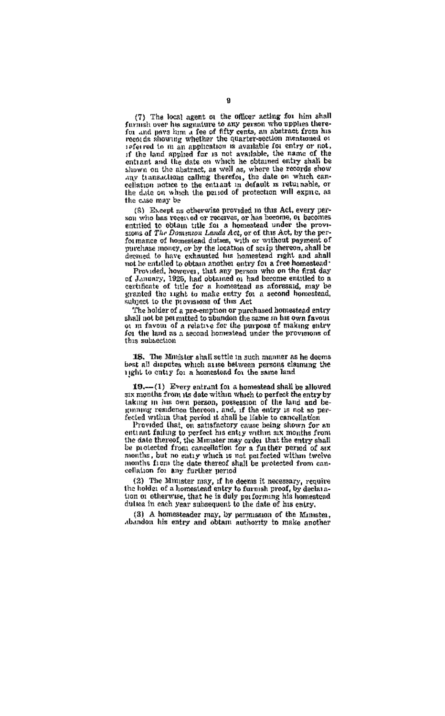(7) The local agent on the officer acting for him shall furnit over his signature to any person who upplies there-<br>for and pays him a fee of fifty cents, an abstract from his records showing whether the quarter-section mentioned or referred to m an application is available for entry or not. if the land applied for is not available, the name of the entrant and the date on which he obtained entry shall be shown on the abstract, as well as, where the records show any transactions calling therefor, the date on which can-<br>cellation notice to the entrant in default is returnable, or the date on which the period of protection will expire, as the case may be

(8) Except as otherwise provided in this Act, every person who has received or receives, or has become, or becomes stons of The Domeston Lands Act, or of this Act, by the performance of homestead duties, with or without payment of purchase money, or by the location of scrip thereon, shall be depend to have exhausted his homestead right and shall not be entitled to obtain another entry for a free homestead

Provided, however, that any person who on the first day of January, 1925, had obtained or had become entitled to a certificate of title for a homestead as aforesaid, may be granted the 11ght to make entry for a second homostead, subject to the provisions of this Act

The holder of a pre-emption or purchased homostead entry<br>shall not be permutted to abandon the same in his own favour ot in favour of a relative for the purpose of making entry<br>for the land as a second homestead under the provinces of this subsection

18. The Minister shall settle in such manner as he deems<br>best all disputes which ause between persons claiming the 11ght to entry for a homestead for the same land

19.-(1) Every entrant for a homestead shall be allowed six months from its date within which to perfect the entry by taking in his own person, possession of the land and become person, possession of the land and become person can be the entry is not so perfected it shall be li

Provided that, on satisfactory cause being shown for an entiant failurg to perfect his entry within ax months from the date thereof, the Minister may order that the entry shall be protected from cancellation for a further period of aix months, but no entry which is not perfected within twelve months from the date thereof shall be protected from cancellation for any further period

(2) The Munster may, if he deems it necessary, require the holder of a homestead entry to furnish proof, by declaration or otherwise, that he is duly performing his homestead duttes in each year subsequent to the date of his entry.

(3) A homesteader may, by permission of the Minister abandon his entry and obtain authority to make another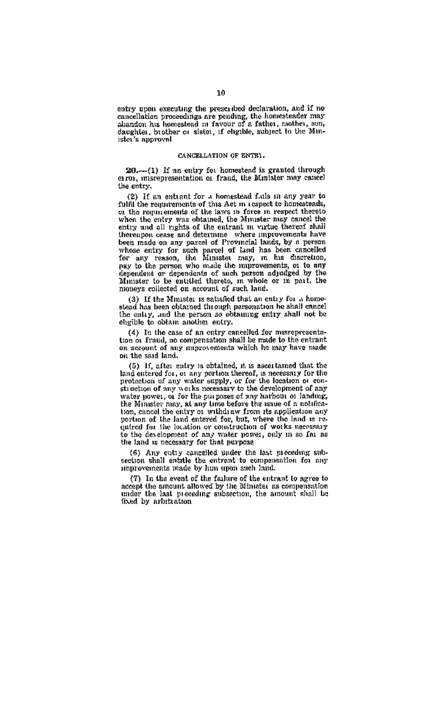entry goon executing the prescribed declaration, and if no cancellation proceedings are pending, the homesteader may aluncion has bomestead in favour of a father, nother, sondaughter, brother or sister, if chgible, aubject to the Minister's approval

#### CANCELLATION OF ENTEL.

20 .- (1) If an entry for homestead is granted through error, interestrated to a fraud, the Minister may cancel the entry.

(2) If an entiant for a homestead fails in any year to fulfil the requirements of this Act in record to homesteads. common and approximate of the laws in tespect to numerate or the requirements of the laws in temperature thereto when the end of the laws of the laws of the laws of the laws of the laws of the laws of the laws of the laws entry and all rights of the entrant m virtue thereof shall thereupon cease and determine where improvements have the mate on any parel of Provincial lands, by a person whose entry for such parcel of Provincial lands, by a person whose entry for such parcel of land has been cancelled for any reason, the Ministet may, in his discretion asy to the person who made the numpowements, or to any dependent or dependents of such person admitted by the Minister to be entitled thereto, in whole or in part, the nioneys collected on account of such land.

(3) If the Munster is satisfied that an entry for a home-stead has been obtained through personation he shall cancel the only, and the person so obtaining entry shall not be electile to obtain another entry.

(4) In the case of an entry cancelled for misrepresentation of Fraud, no compensation shall be made to the entrant on account of any maprovements which he may have made on the said land.

(5) If often entry is obtained, it is ascertained that the  $\{9, 11, \text{mod} \text{ entry is contained, } n \text{ is associated to the linear derivative of } n \text{ and } n \text{ otherwise.}$ <br>protection of any water supply, or for the location of current<br>struction of any water supply, or for the location or construction of any works necessary to the development water nower, or for the nurnoses of any harbour or landing. the Minister pays at any time before the issue of a notifical the pursue has a with a wide a respective to a september on the projection any quired for the location or construction of works necessary to the development of any water power, only in so far as

(6) Any ontry cancelled under the last meeting sub-section shall entitle the entrant to compensation for any improvements made by hun upon such land.

(7) In the event of the failure of the entrant to agree to accept the antount allowed by the Minuster as compensation<br>under the antount allowed by the Minuster as compensation<br>under the last preceding subsection, the amount shall be fixed by arbitration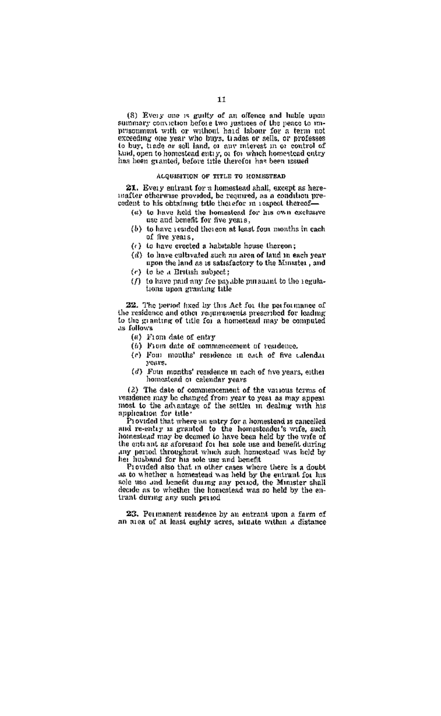(8) Every one is guilty of an offence and hable upon can many conviction before two justices of the peace to minimary conviction before two justices of the peace to minimary conviction to without haid labour for a term not exceeding one year who buys, trades or sells, or pro to buy, trade or sell land, or our migreet in a control of to sure, trace or sea name, or any success in or control on<br>land, open to homestead suity, or for which homestead entry

#### ACOUSSITION OF THE R TO MONSETEAT

21. Every entrant for a homestead shall, except as here-<br>mafter otherwise provided, be recurred, as a condition precodent to his obtaining title therefor in respect thereof-

- (a) to have held the homestead for his own exclusive use and benefit for five years,
- (b) to have resided thoreon at least four months in each of five years.
- (c) to have exected a habitable house thereon:
- (d) to have cultivated such an area of land in each year upon the land as is satisfactory to the Minister, and
- (c) to be a British subject:
- (/) to have paid any fee payable pursuant to the regulations upon granting title

22. The period fixed by this Act for the performance of the residence and other requirements prescribed for leading to the manitor of trile for a homestead may be computed as ang gra

- $(a)$  From date of entry
- (6) From date of commencement of residence,
- (e) Fom months' residence in each of five calendar years.
- (d) Four months' residence in each of two years, either homostead or calendar years

(2) The date of commencement of the various terms of vesidence may be changed from year to you as may appear most to the advantage of the settler in dealmer with his

most to the accurating or me setters in usuring transmitted that where an antity for the and re-entry for a homesteder is cancelled and re-entry is granted to the homesteder's wife, such homested may be decemed to have be the entrant as aforesaid for her sole use and benefit during over persons as arougant for the some ose and benefit during<br>any person throughout which such humestoad was held by **lies** 

Provided also that in other cases where there is a doubt sole use and hencht during any period, the Minister shall decide as to whether the homestead was so held by the entrant during any such period.

23. Permanent readence by an entrant upon a farm of an area of at least eighty acres, situate within a distance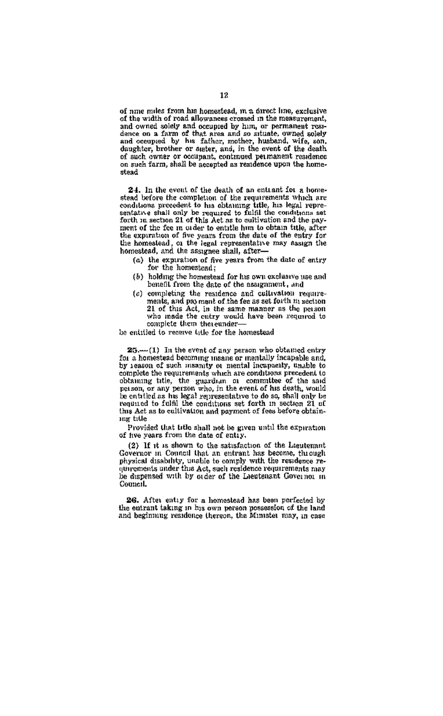of nme miles from his homestead, in a direct line, exclusive of the width of road allowances crossed in the measurement. of the width of row and occupied by him, or permanent rost-<br>and owned solely and occupied by him, or permanent rost-<br>dence on a farm of that area and so situate, owned solely<br>and occupied by his father, mother, husband, wi daughter, brother or sector, and, in the event of the death. of such owner or occupant, continued permanent residence on such farm, shall be accepted as residence upon the homestead

24. In the event of the death of an entrant for a homestead before the completion of the requirements which are conditions precedent to his obtaining title, his legal repre-<br>sentative shall only be required to fulfil the conditions set<br>forth in section 21 of this Act as to cultivation and the payment of the fee in order to entitle him to obtain title, after<br>the expuration of five years from the date of the entry for the homestead, or the legal representative may assign the homestead, and the assumee shall, after-

- (a) the expiration of five years from the date of entry for the homestead;
- (b) holding the homestead for his own exclusive use and benefit from the date of the assumment, and
- (c) completing the residence and cultivation requirecompletely one residence and care acceleration in section.<br>21 of this Act, in the same manner as the person<br>who made the cutry would have been required to complete them thereunder-

he entitled to receive title for the homestead

25.-(1) In the event of any person who obtained entry for a homestead becoming users or mentally incapable and. by reason of such meanity or mental incapacity, unable to complete the requirements which are conditions precedent to obtaining title, the guardian or committee of the said person, or any person who, in the event of his death, would be entitled as his legal representative to do so, shall only be this Act as to cultivation and payment of fees before obtaining title

Provided that title shall not be given until the expiration of twe vears from the date of entire.

(2) If it is shown to the satisfaction of the Lieutenant Governor in Council that an entrant has become, through physical disability, unable to comply with the residence regurences were interesting to compare the residence re-<br>quirements under this Act, such residence requirements nav<br>be dispensed with by order of the Lieutenant Governor in Council.

26. After entry for a homestead has been perfected by the entrant taking in his own person possession of the land and beginning residence thereon, the Minister may, in case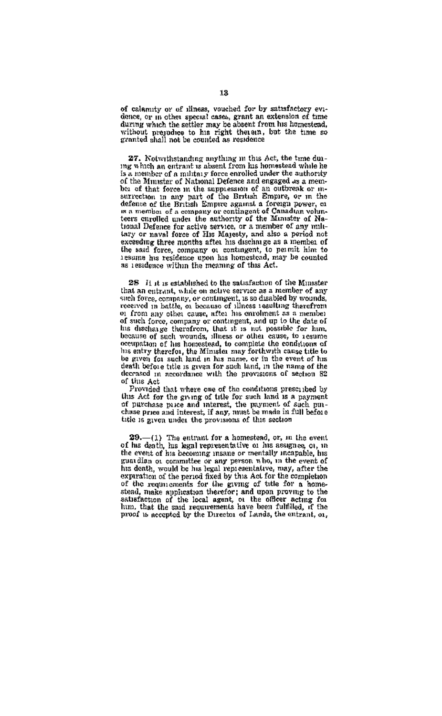of calamity or of illness, vouched for by satisfactory evi-<br>dence, or in other special cases, grant an extension of time during which the settler may be absent from his homestead. naring which the settler may be absent from his homestess,<br>without pregnones to his right then an , but the time so

27. Notwithstanding anything in this Act, the time duing which an entrant is absent from his homestead while he is a neutrance of a military force encolled under the authority of the Munster of National Defence and engaged as a memof that force in the supplession of an outwest or in-<br>bia of that force in the supplession of an outwest or in-<br>surrection in any part of the British Empire, or in the<br>defence of the British Empire against a foreign power, teers enrolled under the authority of the Minister of National Defence for settye service, or a member of any miletary or naval force of His Majesty, and also a period not excending three months after his discharge as a member of the said force, company of contingent, to permit him to resume his residence upon his homestead, may be counted as residence within the meaning of this Act.

28 it it is established to the satisfaction of the Minister that an entrant, while on active service as a member of any case as currently, while on more we write as a newhole by wounds,<br>seech force, company, or contingent, is so disabled by wounds,<br>received in hattle, or because of illness resulting therefrom or from any other cause, after his enrolment as a member of such force, company or contingent, and up to the date of the discharge therefore, that it is not possible for him,<br>the discharge therefore, these or other cause, to resume<br>because of such wounds, illness or other cause, to resume his entry therefor, the Minister may forthwith cause title to death before title is given for such land, in the name of the decrated in proprietate with the provisions of section 82 of this Act

Provided that where one of the conditions prescribed by this Act for the group of title for such land is a payment of parchase puce and interest, the payment of such i pinchase price and interest, if any, must be made in full before title is given under the provisions of this section

29.-(1) The entrant for a homestead, or, in the event of his death, his legal representative of his assigned of, in the event of his becoming insane or mentally incapable, his guardian or committee or any person who, in the event of hts death, would be his legal representative, may, after the exparation of the pariod fixed by this Act for the completion experiments for the group of the content above the experiments for the group of the for a home-<br>stead, make application therefor; and upon proving to the<br>stead, make application therefor; and upon proving to the<br>satisfacti proof is accepted by the Director of Lands, the entrant, or.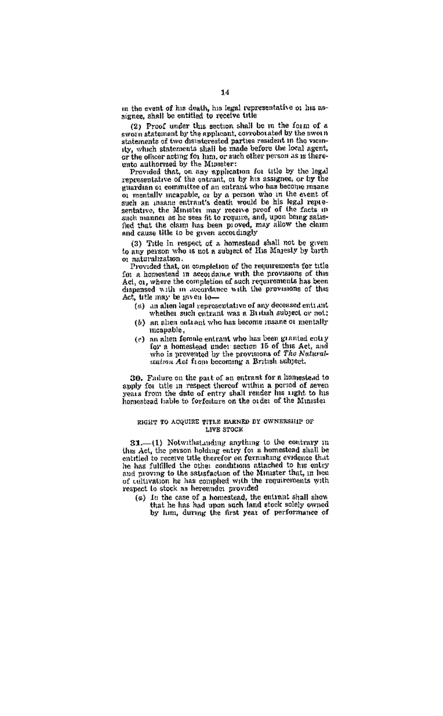in the event of his death, his legal representative or his assignee, shall be entitled to receive title

(2) Proof under this section shall be in the form of a sworn statement by the applicant, corroborated by the aworn<br>statements of two distatorested parties resident in the vicinsty, which statements shall be made before the local agent, or the officer acting for lum, or such other person as is thereunto authorized by the Minister:

Provided that, on any application for title by the legal<br>representative of the entrant, or by his assignee, or by the guardian or committee of an entrant who has become manuor mentally meapoble, or by a person who in the event of such an unsame entrant's death would be his legal representative, the Minister may receive proof of the facts in such manner as he west fit to require, and, upon bong satis-fied that the claim has been proved, may allow the claim and cause title to be given accordingly

(3) Title in respect of a homestead shall not be given<br>to any networ who is not a subject of His Marcely by buth o; naturalization.

Provided that, on completion of the requirements for title on a homestead in accordance with the provisions of this Act, or, where the completion of such requirements has been dispensed with in accordance with the provisions of this Act, title may be go en lo-

- (a) an alien legal representative of say decessed entiunt whether such entrant was a British subject or not;
- (b) an aben eattagt who has become insane or mentally meapoble.
- (c) an alten female entrant who has been granted catry<br>for a homestead under section 15 of this Act, and who is prevented by the provisions of The Naturalentron Act from becoming a British subject.

30. Failure on the part of an entrant for a homestead to apply for title in respect thereof within a period of seven years from the date of entry shall render his right to his homestead liable to forfeiture on the order of the Minister

#### EIGHT TO ACQUIRE TITLE EARNED BY OWNERSHIP OF LIVE STOCK

81.-1) Notwithstanding anything to the contrary in this Act, the person holding entry for a homestead shall be entitled to receive title therefor on formshing evidence that be has fulfilled the other conditions attached to his entry and proving to the satisfaction of the Minister that, in bon of cultivation he has comphed with the requirements with respect to steck as hereunder provided

(a) In the case of a homestead, the entrant shall show that he has had upon such land stock solely owned by him, during the first year of performance of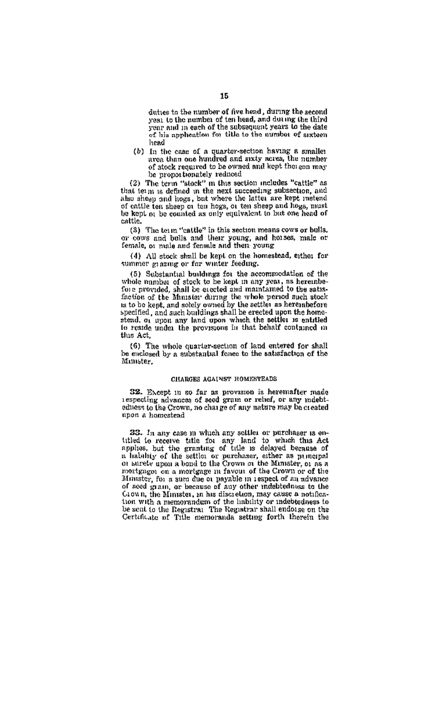duites to the number of five head, during the second yest to the number of ten head, and during the third year to the pumper of the subsequent years to the date of his symbolication for title to the number of creteen head

(b) In the case of a quarter-section having a smaller<br>area than one hundred and sixty acres, the number area than one number and sixty moves, the manuscript be proportionably reduced

(2) The term "stock" in this section includes "cattle" as that term is defined in the next succeeding subsection, and can complete the state of the little are been instead as a state in the latter are kept instead<br>of ontile ten sheep or ten hogs, or ten sheep and hogs, must<br>be kept or be counted as only equivalent to but one head of  $m$ Hle

(3) The term "cattle" in this section means cows or bulls. or cows and bulls and their young, and houses, male or<br>female, or male and female and their young

(4) All stock shall be kept on the homestead, other for summer grazing or far winter feeding.

(5) Substantial buildings for the accommodation of the or constanting bandwide in the second of stock to be kept in any year, as herember<br>fore provided, shall be cretted and manitalmed to the satisfied<br>end of stock to be kept in any year, as herember<br>fore of the Manatov during specified, and such buildings that the erected upon the home-<br>steed to a upon any land upon which the settler is entitled<br>to reside under the provisions in that behalf contained in the Ast

(6) The whole quarter-section of land entered for shall<br>be enclosed by a substantial fonce to the satisfaction of the Minister,

#### CHARGES AGAINST HOMESTEADS.

32. Except in so far as provision is heremafter made respecting advances of seed gram or rebel, or any molehieduces to the Crown, no chaire of any nature may be created nuon a homestead

33. In any case in which any soldier or purchaser is entitled to receive title for any land to whach this Act applies, but the granting of title is delayed because of a habitity of the settles or purchaser, either as pumerical or a surely upon a bond to the settle or purchaser mortgage on a mortgage in favour of the Crown or of the of seed grain, or because of any other indebtedness to the<br>Crown, the Minister, in his discretion, may cause a notification with a memorandum of the linkility or indebtedness to be sent to the Registral The Registrar shall endoine on the Certificate of Title memorands setting forth therein the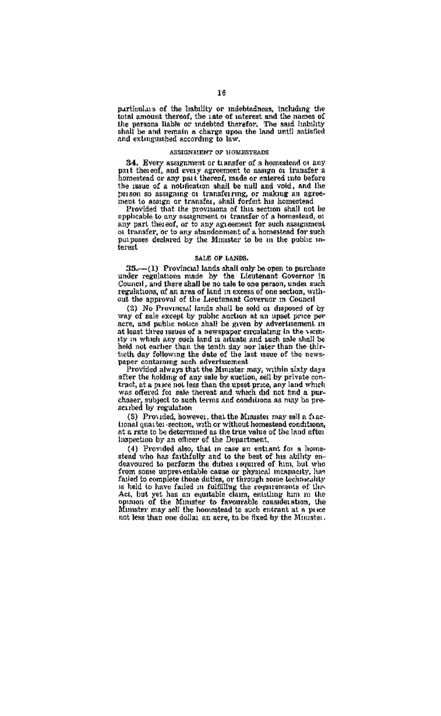particolars of the hability or indebtedness, including the parties as or the manility of innesteament, including the total amount thereof, the use of interest and the names of the persons liable of nached therefor. The said itability shall be and remain a charge upon the land unti and extinguished according to law

#### ASSIGNMENT OF HOMESTEADS

24. Every accomment or transfer of a homestead or any pat thereof, and every agreement to assum or transfer a homestead or any part thereof, made or entered into before the issue of a notification shall be null and void, and the person so assigning or transferring, or making an agree-<br>ment to sastgn or transfer, shall forfeit his homestead

ment to assum or transfer, shall for<br>fert has homesteked provided that the provisions of this section shall not be applicable to any assume<br>most to maximate of the any ment thereof, or to any agreement for such assummes<br>a  $1000$ 

#### SALE OF LANDS

 $35$ — $(1)$  Provincial lands shall only be open to purchase<br>under regulations made by the Lieutenant Governor in<br>Council, and there shall be no sale to one person, under such<br>council, and there shall be no sale to one pers

(2) No Provincial lands shall be sold on disposed of by way of sale except by public auction at an upset price per acre, and public notice shall be given by advertisement in at least three sasses of a newspaper circulating in the vicinity in which any such land is situate and such sale shall ïю held not earlier than the tenth day nor later than the thir-<br>ticth day following the date of the last issue of the news-

paper containing aich advertisement<br>Provided always that the Minister may, within sixty days<br>after the holding of any sale by auction, sell by private contract, at a pare and these than the upset price, any land which<br>was offered for sale thereat and which did not had a parchaser, subset to such terms and conditions as may be prescribed by regulation

(S) Provided, however, that the Minister may sell a functional quarter-section, with or without homestend conditions, at a rate to be determined as the true value of the land after inspection by an officer of the Department.

respectively and one of the search and the material of the Provided also, that in case an estimate of his ability endeavoured to perform the dutest sequence of then, but who featured in particular the provided from some up rion some upprevenisors cause or physical moments, her is held to have facied in fulfilling the requirements of this Act, but yet has an equitable claim, entitling him in the opinion of the Minister to favourable consideration, the Mimster may sell the homestead to such entrant at a price not less than one dollar an acre, to be fixed by the Minister.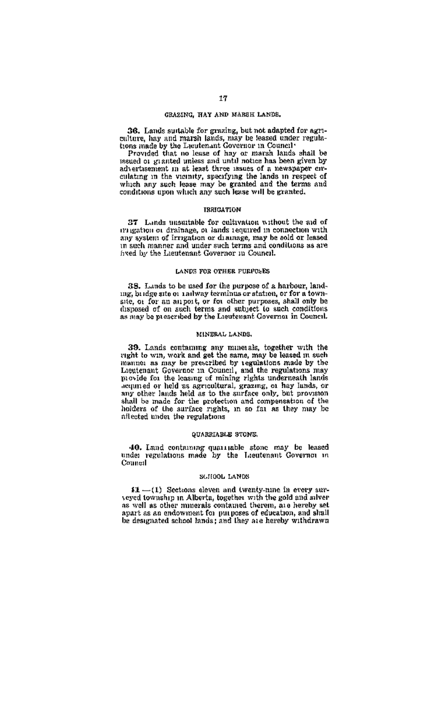#### GRAZING, HAY AND MARSH LANDS.

36. Lands suitable for grazing, but not adapted for agrione needs summon for generally one not authore and the context of marks and the leased under regula-<br>tions made by the Laurienant Governor in Council

Provided that no lease of hay at maximum in council that<br>Provided that no lease of hay at matches has been riven by advertisement in at least three issues of a newspaper circonstruction in the vientity, appealing the last as newspaper circulating in the vientity, appealing the land in respect of which any such lease may be granted and the terms and conditions upon which any such lease will be

#### **TOMOTOWAY**

27 Lands unsuitable for coltivation without the sid of ary system of drainage, or leads required in connection with<br>rangivelent or drainage, or leads required in connection with<br>rangivelent or drainage, may be sold or leased<br>in such manner and under such terms and conditions a to such manitor and success organization and such to

#### LANDS FOR OTHER PURPOSES.

33. Lunds to be used for the purpose of a harbour, landing, bridge atte or railway terminus or station, or for a townand only be a structured by the other purposes, shall only be disposed of on such terms and subposed from solid terms and subposed of our and subposed of our and subposed of our and the Lieutenand Governor in General.

#### MINERAL LANDS.

39. Lands contaming any minerals, together with the right to win, work and get the same, may be leased in such manitor as may be prescribed by regulations made by the Lieutenant Governor in Council, and the regulations may provide for the leasing of mining rights underneath lands acquired or held as agricultural, grazing, or hay lands, or shall be made for the protection and compensation of the holders of the auritace rights, in so far as they may be afterial under the regulations

#### QUARRIABLE STONS.

40. Land containing qualitable stone may be lessed under regulations made by the Lieutenant Governor in Counsel

#### SCIIODL LANDS

 $\Omega = (1)$  Sections eleven and twenty-nine in every surveyed township in Alberta, together with the gold and silversex well as other muserals contained therein, as a hereby set<br>as well as other muserals contained therein, as a hereby set<br>apart as an endowment for purposes of education, and shall be designated school lands; and they are hereby withdrawn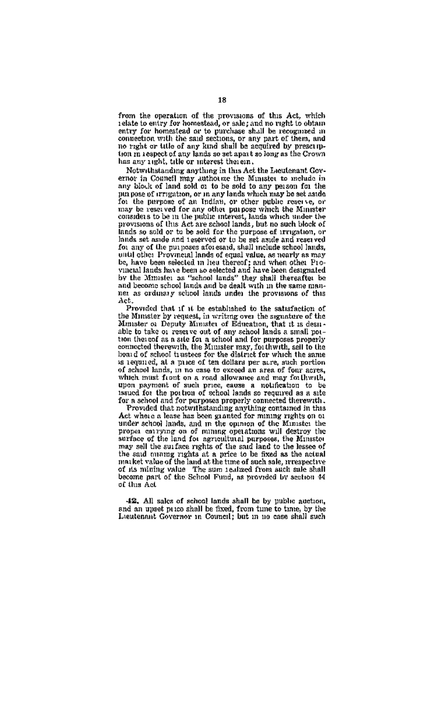from the operation of the provisions of this Act, which<br>relate to entry for homestead, or sale; and no right to obtain<br>entry for homestead or to purchase shall be recognized in<br>connection with the said sections, or any par no right or title of any kind shall be acquired by preseription in respect of any lands so set apart so long as the Crown has any sucht, title or interest therein.

Notwithstanding anything in this Act the Lieutenant Governor in Couneil may authorize the Minister to melude in<br>any block of land sold or to be sold to any person for the out pose of crrigation, or in any lands which may be set aside for the perpose of an Indian, or other public reserve, or To the perpose of an initial, or other people reserve, or<br>may be reserved for any other put pose which the Minister<br>considers to be in the public interest, leads which under the<br>provisions of this Act are school lands, but lands so sold or to be sold for the purpose of progntion, or lands set aside and teserved or to be set aside and reserved for any of the purposes sforeseed, shall melade school lands,<br>for any of the purposes sforeseed, shall melade school lands,<br>until other Provincial lands of equal value, as nearly as may be, have been selected in heu there of the electron other provinction is always now to be observed a first sharp count designate to the Minuster as "school lands and be dealt with in the same manner as ordinary school lands and be dealt with in the same manner. Act

Provided that if it be established to the satisfaction of the Minister by request, in writing over the signature of the Minister of Deputy Minister of Education, that it is desirable to take or reserve out of any school lands a small pottion thereof as a site for a school and for purposes properly connected therewith, the Minister may, for thwith, sell to the board of school trustees for the dialract for which the same is required, at a price of ten dollars per acre, such portion of school lands, in no case to exceed an area of four acres, of achorel kinnes, un no enne to exceed an area of four anys, wheth must front on a read allowance and may for thereth, upon payment of such preceding that is the post of the posted and for payment of the state of the post

Act where a lease has been granted for mining rights on or proper control on of mining operations will destroy the may sell the surface rights of the said land to the lessee of the said manng rights at a price to be fixed as the actual maiket value of the land at the time of such sale, prespective of its mining value. The sum is alized from such sale shall<br>become part of the Schnol Fund, as provided by acction 44 of this Act

42. All sake of school lands shall be by public auction. and an uppet passe shall be fixed, from time to time, by the Lieutenant Governor in Council: but in no case shall such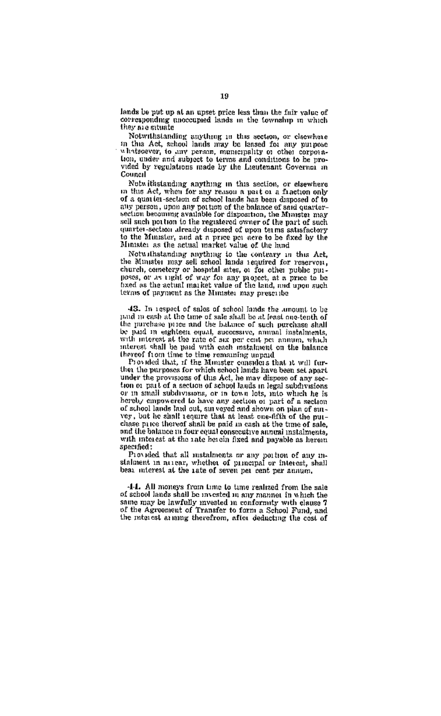lands be put up at an upset price less than the fair value of corresponding unoccupied lands in the township in which their are estuate

Notwithstanding enything in this section, or claswhere<br>in this Act. school lands may be lansed for any purpose in the specific contractions in the presence of the parties of the corporations, the corporation of the pre- $C$ 

Note it<br>assault a nything in this section, or elsewhere in this Act, when for my reason a part or a fraction only<br>of a quarter-section of school lands has been disposed of to or a span on-second or school things has been disposed of the<br>approximation photography and the balance of said quarker-<br>section becoming available for disposition, the Minister may<br>sell such portion to the registered owne quarter-section already disposed of upon terms satisfactory to the Munster, and at a prop pouges to be fixed by the Minister as the actual market value of the hind

Notwithstanding anything to the conteary in this Act, the Minister may sell school lands required for reservoir, church, cemetery or hospital sites, or for other public purposes, or as tight of way for any project, at a price to be breed as the actual market value of the land, and upon such tegos of payment as the Minister nay prescribe

43. In respect of sales of school lands the amount to be number of the time of sales in he at least number of the the purebase price and the balance of such perchase shall be paid in eighteen equal, successive, amual instalments. with interest at the rate of six per cent per annum, which interest shall be paid with each instalment on the balance interest shan or post with quest measurest

Provided that, if the Minister considers that it will furtheir the purposes for which school lands have been set apart under the provisions of this Act, he may dispose of any section or rail of a section of school lands in level subdypetions or in small subdivisions, or in town lots, into which he is hereby empowered to have any section of part of a section of school lands had out, surveyed and shown on plan of surver, but he shall require that at least one-fifth of the nuchase price thereof shall be paid in cash at the time of sale. and the balance in four equal consecutive annual instalments, with intorest at the rate berein fixed and pavable as herem specified:

Provided that all mistalments or any portion of any mistalment in arrear, whether of principal or interest, shall best interest at the rate of seven per cent per annum.

-1-1. All noneys from time to time realized from the sale of school lands shall be invested in any manner in which the same may be inwritely mysted in non-practice of the cause 7<br>of the Agreement of Transfer to form a School Fund, and the rate cat as more therefrom, after deducting the cost of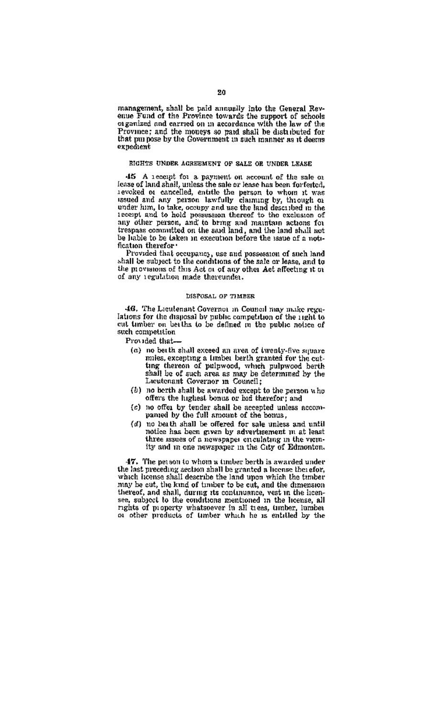management, shall be paid annually into the General Revenue Fund of the Province towards the support of schools<br>organized and carried on in accordance with the law of the Province; and the moneys so paid shall be distributed for that purpose by the Government in such manner as it deems ovnočiani

#### RIGHTS UNDER AGREEMENT OF SALE OR UNDER LEASE

46 A recept for a payment on account of the sale of reason for a second to the species of and shall, unless the sale or lease has been forferted, i.evoked or cancelled, entitle the person to whom it was assued and any person lawfully claiming by, through or under lum, to ta shown now, we ask, occupy and use the main described in the<br>accept and to hold possession thereof to the exclusion of<br>any other person, and to bring and maintain actions for<br>trespass commutted on the said land, and the lan be liable to be taken in execution before the usua of a notification therefor-

Provided that occupancy, use and possession of such land<br>shall be subject to the conditions of the sale or lease, and to the provisions of this Act or of any other Act affecting it to of any regulation made thereunder.

#### DISPOSAL OF TIMBER

46. The Licutenant Governor in Council may make revolations for the disposal by public competition of the right to cut timber on beiths to be defined in the public notice of such competition

- Provided that-
	- (a) no betth shall exceed an area of twenty-five square mies, excepting a limber berth granted for the cutmuss, excepting a timper benth granted for the cut-<br>ting thereon of pulpwood, which pulpwood benth<br>shall be of such area as may be determined by the<br>Lacutenant Governor in Gouncil;
	- (b) no berth shall be awarded except to the person who offers the highest bonus or hid therefor; and
	- (c) no offer by tender shall be accepted unless accompanied by the full amount of the bonus,
	- (d) no beath shall be offered for sale unless and until notice has been given by advertisement in at least three issues of a newspaper enculating in the viemity and re one newspaper in the City of Edmonton.

47. The net son to whom a timber berth is awarded under The person to wrong a tumower outros as weaven the last preceding accion shall be granted a license the ofor,<br>which icense shall describe the land upon which the timber may be cut, the kind of timber to be cut, and the dimension may be out, the kind of unitary to be easy, and the behavior there is, sabject to the conditions mentioned in the license, all rights of property whatsoever in all trees, umber, lumber ngues or property whatsoever in all trees, umber, lumber<br>or other products of timber which he is entitled by the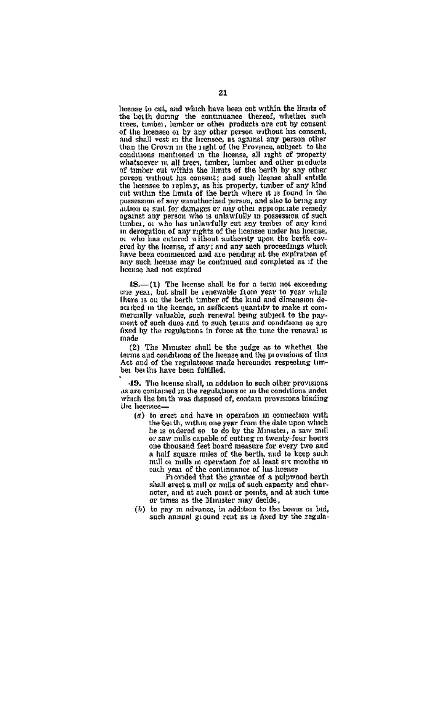beense to cut, and which have been cut within the limits of the beath during the continuance thereof, whether such since, sincer, immorr or other produces are cut by consent<br>of the heenses on by any other person without his consent,<br>and shall vest in the heensee, as against any person other<br>than the Grown in the right of the Province, that the Grown in the light of the Frovince, shuped to the<br>conditions mentioned in the license, all right of property<br>whatacever m all trees, timber, lumber and other products<br>of timber cut within the limits of the berth b person without his consent; and such license shall entitl the heensee to replevy, as his property, timber of any kind cut within the limits of the berth where it is found in the possession of any enauthorized person, and also to bring any action or suit for damages or any other appropriate remedy against any person who is unlawfully in possession of such execution and person was in unawarmly to possession of such umbar, or who has uniawitally out any timber or any sing<br>in derogation of any rights of the licensee under his heense,<br>or who has cutered without suthority upon the berth covgred by the hornse, if any; and any such proceedings which have been commenced and are pending at the expiration of any such heemse may be continued and completed as if the license had not expired

18.-(1) The hoense shall be for a term not exceeding one year, but shall be received and the role of the second spear, but shall be reached from year while scribed in the hounge, in sufficient quantity to make it commercially valuable, such renewal being subject to the payment of such dues and to such terms and conditions as are fixed by the regulations in force at the time the renewal is  $m = 1$ 

(2) The Munster shall be the judge as to whether the terms and conditions of the lie one nuige as to whence of this<br>terms and conditions of the hereine and the provisions of this<br>Act and of the regulations made hereinder respecting timbei bei the have been fulfilled.

49. The heense shall, in addition to such other provisions. and the intense share, in addition to such other provisions.<br>As are contained in the regulations or in the conditions under<br>which the beith was disposed of, contain provisions binding the hernses-

(a) to erect and have in operation in connection with the beath, within one year from the date upon which<br>he is eidered so to do by the Minister, a saw mill or saw mills capable of cutting in twenty-four hours or saw mills capanes or cutting in twenty-tool non-<br>one thousand feet hoard measure for every two and a half souare miles of the berth, and to keep such mill or mills in operation for at least six months in each year of the continuance of his hoense

Provided that the grantee of a pulpwood berth shall erect a mill or mills of such capacity and character, and at such point or points, and at such time or times as the Minister may decide,

(b) to ney in advance, in addition to the homes or bid. such annual ground rest as is fixed by the regula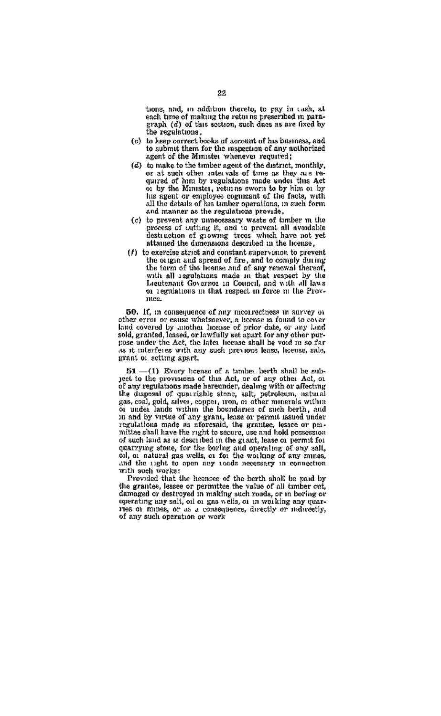tions, and, in addition thereto, to pay in cash, at each time of making the retin as prescribed in parahe regulations.

- (c) to keep correct books of account of his business, and to submit them for the mspection of any authorized agent of the Minister whenever required:
- (d) to make to the timber agent of the district, montaly, or at such other intervals of time as they are reor at such other intervals or time as any are re-<br>quired of him by regulations made under this Act<br>or by the Minister, returns sworn to by him or by his agent or employee cognizant of the facts, with<br>all the details of his timber coerations, in such form and manner as the regulations provide.
- (c) to prevent any unnecessary waste of timber in the process of cutting it, and to prevent all avoidable destured of growing trees which have not yet<br>attained the dimensional described in the license.
- (f) to exercise strict and constant supervision to prevent the origin and spread of fire, and to comply during<br>the term of the license and of any renewal thereof, with all regulations made in that respect by the Leeutenant Governor in Council, and with all laws or regulations in that respect in force in the Provand a

50. If, in consequence of any mearrectiess in survey of other error or cause whatsoever, a license is found to cover land covered by apother because of prior date, or any land sold, granted, leased, or lawfully set spart for any other purpose under the Act, the later heense shall be void in so far as it interferes with any such previous lease, license, sale, strant or setting apart.

 $51 - (1)$  Every homes of a tunber berth shall be sub-<br>yest to the provisions of this Act, or of any other Act, or of any regulations made hereunder, dealing with or affecting the disposal of quarriable stene, salt, petroleum, natural gas, coal, gold, silver, copper, tron, or other minerals within<br>or under lands within the houndance of such beyth. and in and by virtue of any grant, lease or permit issued under<br>regulations made as aforesaid, the grantee, lessee or peanuttee shall have the right to secure, use and hold possession of such land as is described in the grant, lease or permit for quarrying stone, for the boring and operating of any salt, oil, or natural gas wells, or for the working of any numes. and the night to open any roads necessary in connection with such works:

Provided that the hoensee of the berth shall be paid by the grantee, lessee or permittee the value of all timber cut damaged or destroyed in making such roads, or in boring or operating any sait, oil or gas wells, or in working any coarries or mines, or as a consequence, directly or indirectly, of any such operation or work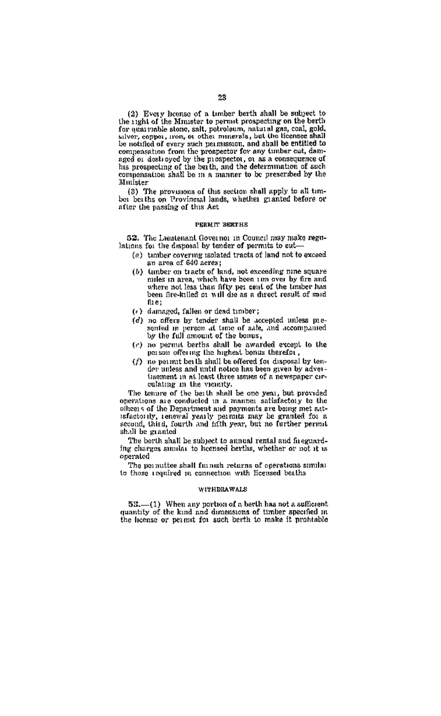(2) Every hoerse of a timber berth shall be subject to<br>the right of the Minister to permit prospecting on the herth for quarriable stone, salt, potroleum, natural gas, coal, gold, salver, copper, mone and the minerals, but the licensee shall pensation from the prospector for any timber cut, damcomparation from the prospector for my uniformed, damaged of dost ayed by the prospective, or as a consequence of his prospecting of the beith, and the determination of such comparation shall be in a manner to be prescribe Minister

(3) The provisions of this section shall apply to all timbe bettes on Provincial lands, whether granted before or after the passing of this Act

## PERMIT RESERVE

52. The Leatenant Governor in Council may make regulations for the dismosal by tender of permits to out-

- (a) tamber covering isolated tracts of land not to exceed an area of 640 acres:
- (b) tumber on tracts of land, not exceeding nine square canner on creek of mon, not exceeding more square where not less than fifty per cent of the tamber has<br>been fire-killed at will die as a direct result of said EL<sub>61</sub>
- (+) damaged, fallen or dead timber;
- (d) no offers by tender shall be accepted unless mesented in person at time of sale, and accommanied by the full amount of the bonus.
- (c) no permit berths shall be awarded except to the person offering the highest bonus therefor
- (f) no permit be th shall be offered to disposal by tender unless and until notice has been given by adverdisement in at least three issues of a newspaper circulating in the viennty.

The tenure of the besth shall be one year, but provided operations are conducted in a manner satisfactory to the olleens of the Department and payments are bang met satsensor the me trajecturent and partners are builty met att-<br>sensite the sense yearly paramits may be granted for a shill be granted

The berth shall be subject to annual rental and faeguard-<br>ing charges annual to itemed berths, whether or not it is operated

The normalize shall formsh returns of operations similar to those required in connection with licensed batths

## **SUBJECT OF A SECOND**

53.-(1) When any portion of a berth has not a sufficient quantity of the kind and dimensions of timber specified in the license or permit for such berth to make it prohinble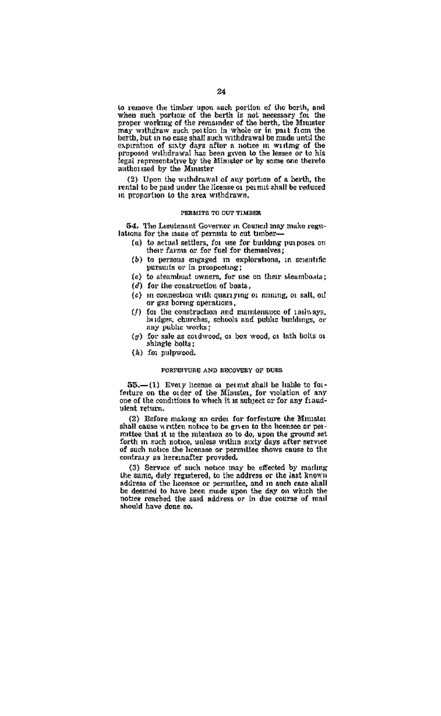to remove the timber upon such portion of the berth, and<br>when such portion of the berth is not necessary for the<br>proper working of the remainder of the berth, the Minister proper working or the remainder of the ourth, the gaints or<br>may writing two such poi time in whole or in part from the<br>berth, but in no case shall such withdrawal be made until the expiration of sixty days after a notice in writing of the legal requestation by the Minister of hy same are theirds authorized by the Minister

(2) Upon the withdrawal of any portion of a herth, the rental to be paid under the license of permit shall be reduced in proportion to the area withdrawn.

#### PERMITS TO OUT TIMBER

54. The Louismant Governor in Council may make regulations for the issue of permits to cut timber-

- (a) to actual settlers, for use for building purposes on their farms or for fuel for themselves:
- (b) to persons encaged in explorations, in scientific pursuits or in prospecting;
- (c) to steamhost owners, for use on their steamhouts:
- (d) for the construction of bosts.
- (c) in connection with many ring or mining, or salt, orl or gas boring operations.
- (f) for the construction and mamtenance of railways. for the construction and manuemappe or ranswers. nay public works:
- (g) for sale as cordwood, or box wood, or lath holts or shingle bolts:
- (k) for pulpwood.

#### FORFEITURE AND RECOVERY OF DUES

55.-(1) Every heense or permit shall be liable to forfeture on the order of the Minutes, for violation of any one of the conditions to which it is subject or for any fraudulent return.

(2) Before making an order for forfeiture the Minister shall cause written notice to be given to the hoensee or permittee that it is the intention so to do, upon the ground set forth in such notice, unless within sixty days after service of such notice the hoenase or permittee shows cause to the contrary as hereinafter provided.

(3) Service of such notice may be effected by marling the same, duly registered, to the address or the last known and same, using regioneries, we are assured in the tens shall<br>be desmed to have been made upon the day on which the notice reached the said address or in due course of mail should have done so.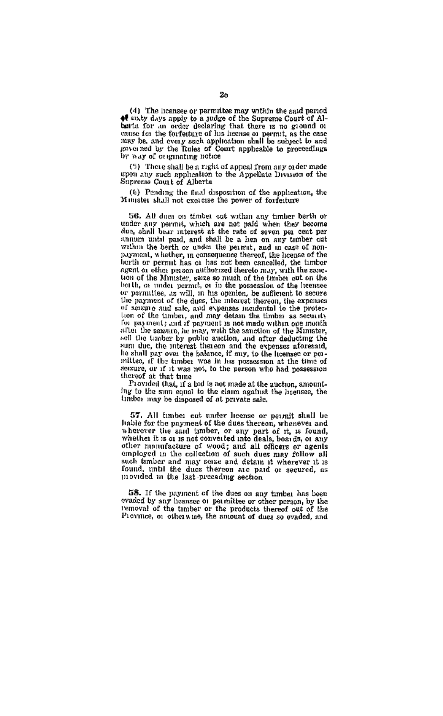(4) The hoensee or permittee may within the said period of sixty days apply to a judge of the Supreme Court of Albest a for an order declaring that there is no ground on canno for the weaker usuaring that there is no ground or energy on the foreign<br>may be, and overy such application abial be assigned to and may be, and overy such application abial be assigned to and<br>proving the Rules of C

(5) There shall be a right of appeal from any order made upon any such application to the Appellate Division of the Supreme Court of Alberta

(b) Pending the final disposition of the application, the Minister shall not exercise the power of forfeiture

56. All dues on timber out wrthin any timber berth or under any nermit, which are not paid when they become due, shall bear interest at the rate of seven per cent per annum until paid, and shall be a lien on any timber cut within the berth or under the permit, and in east of nonpayment, whether, in consequence thereof, the horase of the berth or permit has of has not been cancelled, the timber agent or other person authorized thereto may, with the sanction of the Minister, seize so much of the timber cut on the beith, on under permit, or in the possession of the heensee or permittee, as will, in his opinion, he sufficient to secure the payment of the dues, the interest thereon, the expenses of sensue and sale, and expenses memetal to the protection of the timber, and may detain the timber as security for payment; and if payment is not made within one month. after the saistere, he may, with the sanction of the Mimster, sell the timber by public auction, and after deducting the sum due, the interest thereon and the expenses aforesaid, he shall pay over the balance, if my, to the licensee or per-<br>mittee, if the timber was in his possession at the time of senzure, or if it was not, to the person who had possession

Provided that, if a bid is not made at the auction, amounting to the sum count to the claim against the hoenges, the timbes may be disposed of at private sale.

57. All imber est under license or permit shall be liable for the payment of the dues thereon, whenever and wherever the said timber, or any part of it, is found, whether it is or is not converted into deals, boards, or any other numerature of wood; and all officers or agents<br>other numerature of wood; and all officers or agents<br>omployed in the collection of such dues may follow all<br>such timber and may sense and detain it wherever it is found, until the dues thereon are paid or secured, as movided in the last preceding aechoa

58. If the payment of the dues on any timber has been evaded by any hearsee of permittee or other person, by the<br>removal of the timber or the products thereof out of the<br>Province, or otherwise. The amount of dues so evaded, and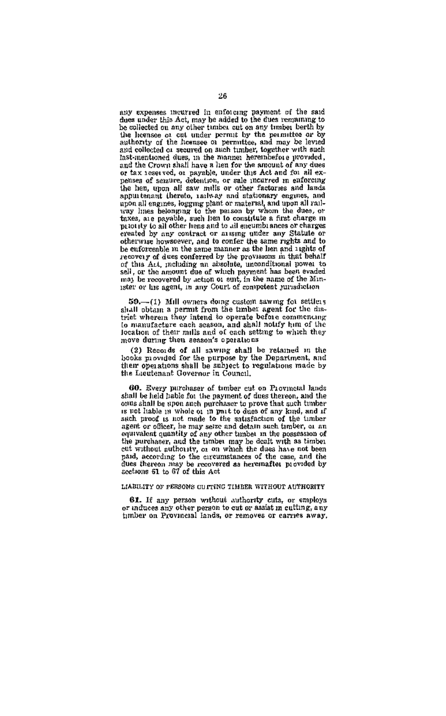any expenses incurred in enforcing payment of the said dues under this Act, may be added to the fues remaining to be collected on any other timber cut on any timber berth by ne collectered ou any other tentors, eic on any two most between the licenses of cell under permut by the permution or by subserving of the Lensness on permution, and may be leveled as a seared on such tanking, and may be or tax reserved, or payable, under this Act and for all expenses of sensure, detention, or sale incurred in enforcing<br>the hen, upon all saw mills or other factories and lands apput tenant thereto, railway and attribute racius and means and upon all engines, loggring plant or material, and upon all railway lines belonging to the parson by whom the dues, or the measurement to the person by vanil the over, or<br>taxes, are payable, such lien to constitute a first charge in erested by any contract or ansing under any Statute or otherwise howsoever, and to confer the same rights and to be enforceable in the same manner as the lien and aughts of recovery of dues conferred by the provisions in that behalf of this Act, including an absolute, unconditional power to sell, or the amount due of which payment has been evaded may be rocovered by action of suit, in the name of the Minister or his agent, in any Court of competent jurisdiction

50.-(1) Mill owners doing custom sawing for settlers shall obtain a permit from the timber agent for the district wherein they intend to operate before commencing to manufacture each scason, and shall notify him of the location of their mills and of each setting to which they move during then season's operations

(2) Records of all sawing shall be retained in the books movided for the purpose by the Department, and their operations shall be amplect to regulations made by the Lieutenant Governor in Council,

60. Every purchaser of timber cut on Provincial lands shall be held hable for the payment of dues thereon, and the onus shall be upon such purchaser to prove that such timber is not hable in whole of in part to dues of any kind, and if state product the may selve and detain such timber, at an equivalent quantity of any other tanber in the possession of the purchaser, and the theory may be dealt with as timely the disc and the possession of the purchaser, paid, according to the circumstances of the case, and the dus thereon may be recovered as hereinafter provided by sections 61 to 67 of this Act

#### LIABILITY OF RESEARCH OURSES THERE WITHOUT A HYBROPTY

61. If any person without authority cuts, or employs or induces any other person to cut or aniat in culting, any bimber on Provincial lands, or removes or carries away,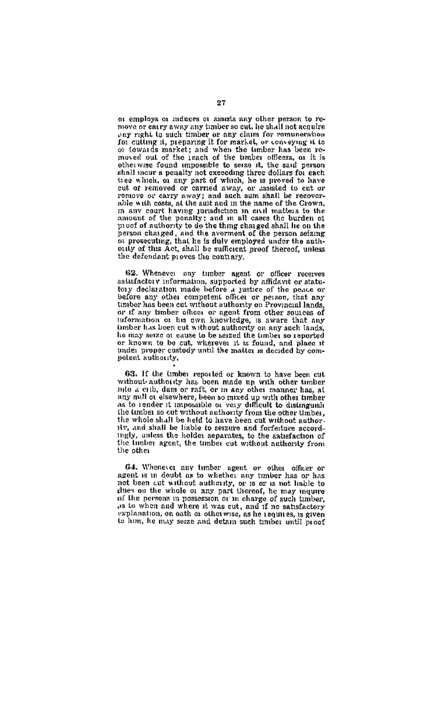or employs or induces or assets any other person to re-<br>move or entry away any banber so cut, he shall not acquire ear right to such timber or any claim for romuneration for cutting it, preparing it for market, or conveying it to or towards market; and when the timber has been removed out of the reach of the timber nus been reotherwise found impossible to serze it, the said person shall meur a penalty not exceeding three dollars for each tree which, or any part of which, he is proved to have cut of removed or carried away, or assisted to cut or remove or carry away; and such sum shall be recoverable with costs, at the suit and in the name of the Crown. in any court having jurisdiction in civil matters to the amount of the pennity; and m all cases the burden of proof of authority to do the thing charged shall lie on the nerson charged, and the averment of the person seizing or prosecuting, that he is duly employed under the authouty of this Act, shall be sufficient moof thereof, upless the defendant proves the contrary.

62. Whenever any tunber agent or officer receives satisfactory information, supported by affidavit or statutory declaration made before a justice of the near or before any other constant mate office or person, that any timber has been cut without authority on Provincial lands, or if any timber offices or negent from other sources of any timber offices or negent from other sources timber has been out without authority on any sight lands. theory are over our window addressly on any agent tangs, or known to be cut, wherever it is found, and place it netent authority.

63. If the timber reported or known to have been cut without authority has been made up with other timber minute attitude with the boen made up what outer things may mill at elsewhere, been so mixed up with other timber<br>as to render it impossible or very difficult to distinguish<br>the timber se cut without authority from the other timber, the whole shall be held to have been cut without authority, and shall be liable to seizure and forfeiture accordingly, unless the holder separates, to the satisfaction of the timber agent, the timber cut without anthony from the other

64. Whenever any timber agent or other officer or agent is in doubt as to whether any timber has or has not been cut without authority, or it or is not hable to of the persons in possession or in charge of such timber, as to when and where it was cut, and if no satisfactory explanation, on oath or otherwise, as he requires, is given to him, he may seize and detain such timber until most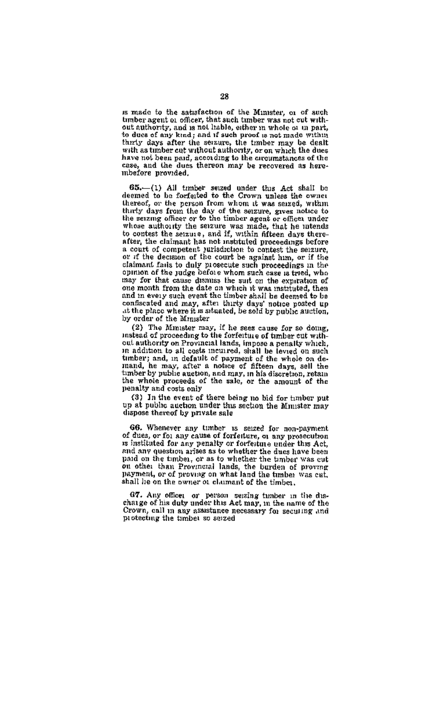is made to the astisfaction of the Minister, or of auch timber agent of officer, that such timber was not cut without authority, and is not itable, either in whole or in part, to dues of any kind: and if such proof is not made within thirty days after the seizure, the timber may be dealt with as timber cut without authority, or on which the dues have not been paid, according to the orcumatances of the case, and the dues thereon may be recovered as herembefore provided.

65.-(1) All timber seized under this Act shall be deemed to be forfeited to the Crown unless the owner thereof, or the nerson from whom it was seized, within thereon, or one person aroun makes an except motion to the seizing officer or to the timber agent or offices under whose authority the serzure was made, that he intends to contest the serzure, and if, within fifteen days thereafter, the claimant has not matituted proceedings before a court of competent jurisdiction to contest the seizure, or of the decision of the court be against him, or if the<br>claimant fails to duly prosecute such proceedings in the<br>opinion of the judge before whom such case is tried, who may for that cause dismas the suit on the expiration of and in every such event the timber shall be deemed to be confiscated and may, after thirty days' notice posted up at the place where it is aduated, be sold by public auction. by order of the Minister

(2) The Minuter may, if he sees cause for so doing, instead of proceeding to the forfeiture of timber cut with out authority on Provincial lands, impose a penalty which, in addition to all costs incurred, shall be levied on such timber; and, in default of payment of the whole on de-<br>mand, he may, after a notice of fifteen days, sell the timber by public auction, and may, in his discretion, retain the whole proceeds of the sale, or the amount of the<br>penalty and costs only

(3) In the event of there being no bid for timber put up at public auction under this section the Minister may dispose thereof by private sale

66. Whenever any timber is seized for non-payment of dues, or for any cause of forfeiture, or any prosecution is instituted for any penalty or forfeiture under this Act. and any question arises as to whether the dues have been paid on the timber, or as to whether the timber was cut paid on the timps), or as to whether the timper was cut<br>on other than Provincial lands, the burden of proving<br>payment, or of proving on what land the timber was cut. shall he on the owner of claimant of the timber.

G7. Any office: or person setting tunter in the discharge of his duty under this Act may, in the name of the Crown, call in any assistance necessary for securing and protecting the timber so serzed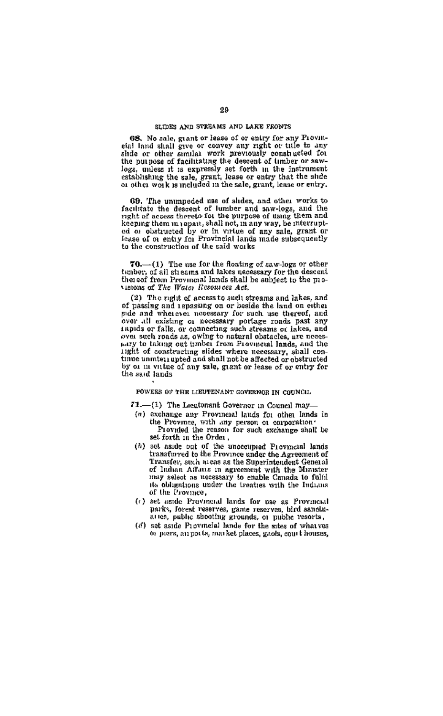#### SLIDES AND STREAMS AND LAKE PRONTS

68. No sale, grant or lease of or entry for any Provinetal land shall give or coavey any right or title to any shide or other similar work previously constructed for the purpose of facilitating the descent of imber or sawlow purpose or incritiously set forth in the instrument<br>logs, unless it is expressive set forth in the instrument<br>extabilishing the sale, grant, lease or entry that the shide<br>or other work is meluded in the sale, grant, le

69. The unumpeded use of shdes, and other works to facilitate the descent of lumber and saw-logs, and the right of access thereto for the purpose of gang them and keeping them m rapant, shall not, in any way, be interruptcol or obstructed by or in virtue of any sale, grant or feuse of or entry for Provincial lands made subsequently to the construction of the said works

 $70$ .  $-$  (1) The use for the floating of saw-logs or other tunber, of all streams and lakes necessary for the descent thereof from Provincial lands shall be anbiect to the movisions of The Water Resources Act.

(2) The right of access to such streams and lakes, and of passing and repassing on or beside the land on either pide and wherever notestary for such use thereof, and over all existing of necessary portage roads past any tapids or falls, or connecting such atreams or lakes, and<br>over such roads as, owing to natural obstacles, are necesany to taking out umber from Provincial lands, and the iight of constructing slides where necessary, shall contime unmterrepted and shall not be affected or obstructed by or in vitue of any sale, grant or lease of or entry for the said lands.

FOWERS OF THE LIEUTENANT COVERNOR IN COUNCIL

71.-(1) The Leegtonant Governor in Council may-

- (n) exchange any Provincial lands for other lands in the Province, with any person of corporation.
	- set forth in the Order,
- (b) set aside out of the uncceupied Provincial lands transferred to the Province under the Agreement of Transfer, sinh areas as the Superintendent General of Indian Affans in agreement with the Minister may select as necessary to enable Canada to fulfil its obligations under the treates with the Indians of the Province,
- (c) set aside Provincial lands for use as Provincial parks, forest reserves, game reserves, bird sanctuarres, public shooting grounds, or public resorts,
- (d) set aside Provincial lands for the sites of whatves or prors, my ports, market places, gaols, court houses,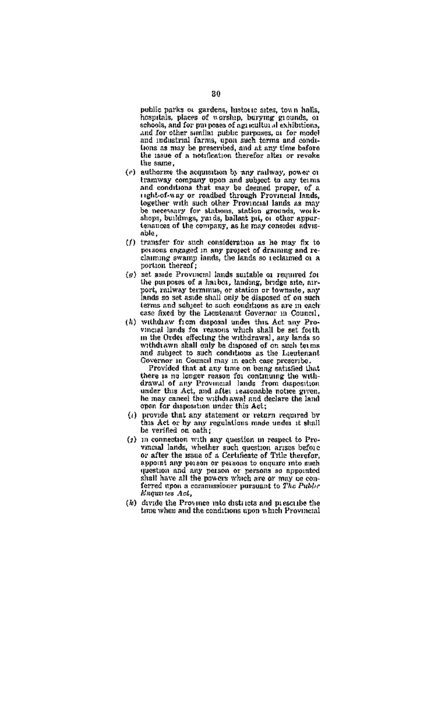public parks or gardens, historic aites, town halls, hospitals, places of worship, burying grounds, or schools, and for purposes of against all exhibitions. and for other similar pablic purposes, at for model<br>and industrial farms, upon such terms and condilons as may be prescribed, and at any time bafore the same.

- (e) authorize the acquisition by any railway, nower of sucharize the sequestion by any raneway, power of<br>transvay company upon and subject to any terms<br>and conditions that may be deemed proper, of a<br>right-of-way or roadbed through Provincial lands, right-or-way or romange turnugh rrovincial issues, be necessary for stations, station grounds, worktenances of the company, as he may consider advisable
- (f) transfer for such consideration as its may fix to possons engaged in any project of draining and re-<br>claiming awamp lands, the lands so reclaimed or a portion thereof:
- $(a)$  set ande Provincial lands suitable or required for the purposes of a haibot, landing, bridge atte, any-<br>port, railway terminus, or station or townsite, any port, railway terminus, or sociolo or townsite, any terms and subject to such conditions as are in each case fixed by the Lieutenant Governor in Council,
- (k) withdraw from diamond under this Act nov Provincial lands for reasons which shall be set forth incide between the case of the writer shall be set forther<br>writed by lands and writer with a simple with the set of the writer and subject to such conditions as the Lieutenant Governor in Council may in each case presenter

Provided that at any time on being satisfied that there is no longer reason for continuing the withdrawal of any Provincial Jands from disposition under this Act, and after reasonable notice given he may cancel the withdrawal and declare the land open for disposition under this Act;

- (i) provide that any statement or return required by this Act or by any regulations made under it shall be verified on eath:
- (c) in connection with any question in remsed to Provincial lands, whether such question arises before<br>or after the issue of a Certificate of Title therefor. appoint any person or persons to conture into such question and any person or persons as appointed<br>shall have all the powers which are or may be con-<br>ferred upon a commusioner pursuant to The Public Enquires Act,
- (b) divide the Province into districts and prescribe the time when and the conditions upon which Provincial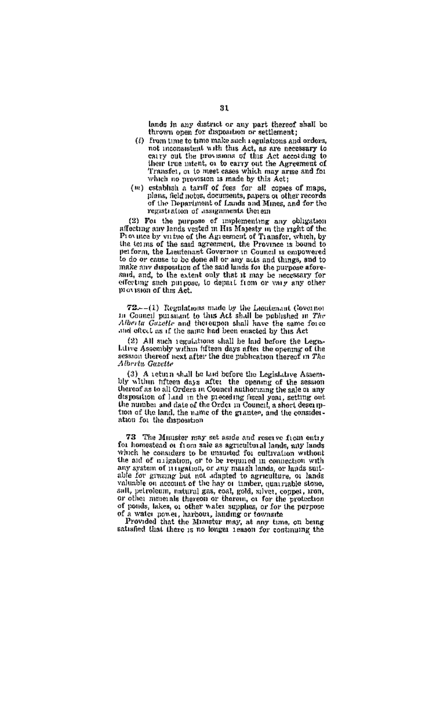lands in any district or any part thereof shall be thrown open for disposition or settlement;

- (i) from time to time make such regulations and orders, not momentant with this Act, as are necessary to carry out the provisions of this Act according to their true intent, or to early out the Agreement of Transfer, or to meet eases which may arise and for which no provision is made by this Act;
- (w) establish a tariff of fees for all copies of maps, plans, field notes, documents, papers of other records of the Department of Lands and Mines, and for the regastration of assignments therein

(2) For the purpose of implementing any obligation affecting any lands vested in His Majesty in the right of the Province by virtuo of the Ameement of Transfor, which, by the terms of the said agreement, the Province is bound to to do or cause to be done all or any acts and things, and to make any disposition of the said lands for the purpose aforesaid, and, to the extent only that it may be necessary for effecting such pinpose, to depart from or vary any other movision of this Act.

72 .-- (1) Regulations made by the Lieutenaut Governor In Council pursuant to this Act shall be published in The Alberta Gazette and thereupon shall have the same force and oftert as if the same had been enacted by this Act

(2) All such regulations shall be laid before the Legis-Live Assembly within fifteen days after the opening of the<br>session thereof next after the due publication thereof in The Alberta Gazette

(3) A return shall be laid before the Legislative Assem-(3) a return shall be sen overe an important control of the session thereof as to all Orders in Council authorizing the sale of any disposition of land in the preceding fused year, setting out the number and date of the Order in Council, a short description of the land, the name of the grantes, and the consideration for the disposition

73 The Mauster may set aside and reserve from entry for homestead or from sale as agricultural lands, any lands which he considers to be unsuited for cultivation without the aid of migration, or to be required in connection with any system of 11 ngatodi, or any market in collineation with any system of 11 ngatodi, or any market lands, or any at allvaluable on account of the hay or timber, quarriable stone, salt, petroleum, natural gas, coat, gold, salvet, coppet, iron, or other nimes als thereon or therein, or for the protection of ponds, lakes, or other water supplies, or for the perpose of a water nower, harbour, landing or fownsite<br>Provided that the Minister may, at any time, on being

satisfied that there is no longer reason for continuing the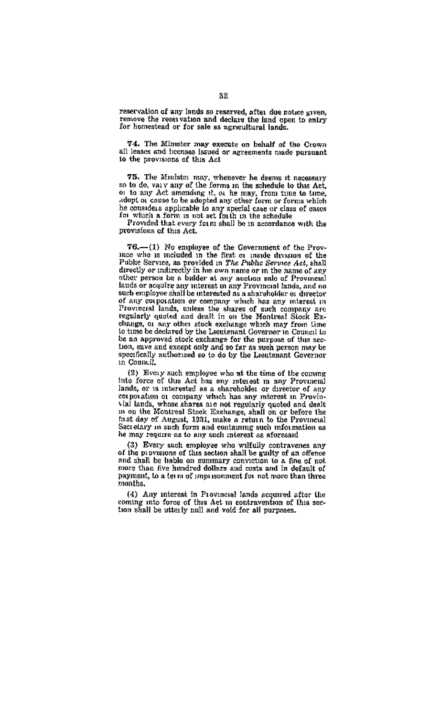reservation of any lands so reserved, after due notice given, remove the reservation and declare the land open to entry for homestead or for sale as agricultural lands.

74. The Minuter may execute on behalf of the Cyoun all leads and locations and or agreements made pursuant

75. The Minister may, whenever he deems it necessary so to do, vary any of the forms in the schedule to this Act, or to any Act amending it, or he may, from time to time, he considers applicable to any special case or class of cases.<br>In considers applicable to any special case or class of cases for which a form is not aet for the in the schedule<br>Provided that every form shall be in accordan

provisions of this Act.

76.—(1) No employee of the Government of the Province who is meluded in the first or implie division of the Public Service, as provided in The Public Service Act, shall directly or indirectly in his own name or in the name of any other person be a budder at any anoton sale of Provincial lands or acquire any interest in any Provincial lands, and no such employee shall be interested as a shareholder or director of any corporation or company which has any interest in Provincial lands, unless the shares of such company are regularly oncied and dealt in an the Mentreal Stock Exchange, or any other stock exchange which may from time<br>to time be declared by the Lieutenant Governor in Council to be an approved stock exchange for the nurpose of this section, save and execut only and so far as such person may be www, save and except only and so far as such person may be specifically authorized so to do by the Lientenant Governor in Council,

(2) Every such employee who at the time of the commuinto force of this Act has any interest in any Provincial lands, or is interested as a shareholder or director of any corporation or company which has any interest in Provinvial lands, whose shares are not regularly quoted and dealt<br>in on the Montreal Stock Exchange, shall on or before the<br>fast day of August, 1931, make a return to the Provincial Secretary in such form and containing such information as he may require as to any such interest as aforesaid

(3) Every such employee who wrifully contravenes any of the provisions of this section shall be guilty of an offence and that he hable on summary convection to a five of not one and that he hable on summary convection to a five or payment, to a term of impursonment for not more than three mantha

 $(4)$  Any interest in Provincial lands acquired after the coming into force of this Act in contravention of this section shall be utterly null and void for all purposes.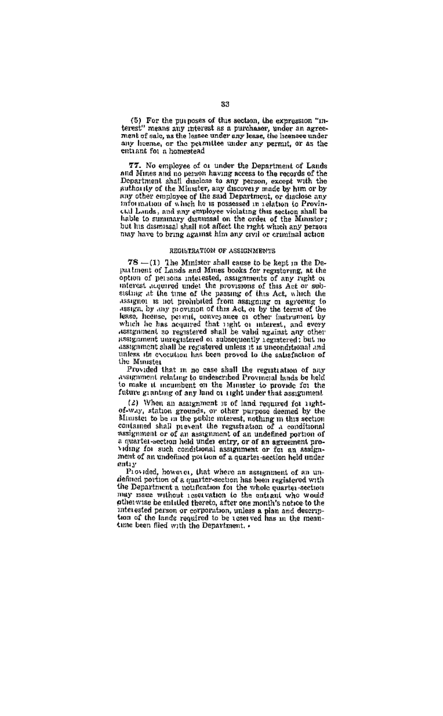(5) For the purposes of this section, the expression "interest" means any mearest as a purchaser, under an agreement of sale, as the leapee under any lease, the heenaee under any home, or the permittee under any permit, or as the entiant for a homestead

77. No employee of or under the Department of Lands<br>and Mines and no person having access to the records of the<br>Department shall disclose to any person, except with the authority of the Minister, any discovery made by him or by any other employee of the said Department, or disclose any information of which he is possessed in relation to Provinntrounation of women are as possessed in 1655,000 to a security call Lands, and any evolutions that be estimated by highle to summary dismissed on the order of the Minister; but his dismissal shall not affect the right whi pay have to bring against him any civil or criminal action

## REGISTRATION OF ASSIGNMENTS

78 -(1) The Minister shall cause to be kept in the Depattment of Lands and Mines books for registering, at the option of persons interested, assignments of any right of interest acquired under the provisions of this Act or subessing at the time of the passing of this Act, which the essign, by any provision of this Act, or by the terms of the lease, herence, permit, conveyance or other instrument by<br>which he has acquired that right or insterest, and every<br>assignment so registered shall be valid against any other assignment unregistered or subsequently registered; but no unless its execution has been proved to the satisfaction of the Minister

Provided that in no case shall the registration of any assignment relating to undescribed Provincial lands be held to make it incumbent on the Minister to provide for the fature granting of any land or right under that assignment

(2) When an assignment is of land required for right-(2) When an assignment is of land vapured for label-<br> $0^{L-2}$  When a means of land vapured for label allows<br>the limiting to be unit the politic nutries the non-section conditional<br>conditions of all prevent the regard rati volume for such conditional assignment or for an assignment of an undefined not tion of a quarter-section held under entry

Provided, however, that where an assignment of an un defined portion of a quarter-section has been registered with the Department a notification for the whole quarter-section may issue without reservation to the entrant who would otherwise be entitled thereto, after one month's notice to the interested person or componition, unless a plan and description of the lands required to be uses ved has in the mean-time been filed with the Department.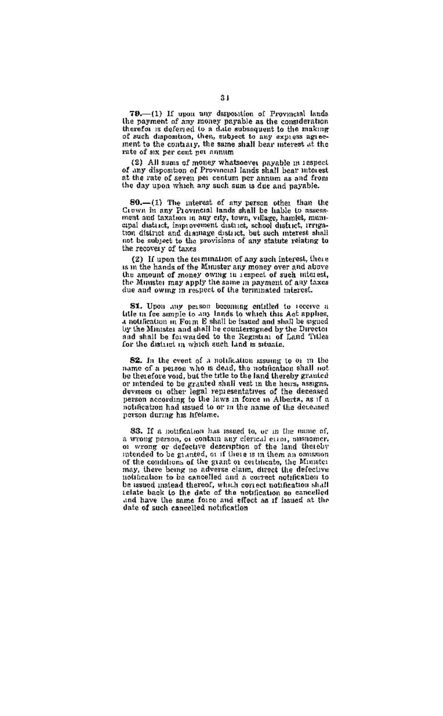79.-(1) If upon any disposition of Provincial lands  $78$ -(1) Il upon any merosisme. A recent consideration the payment of any money payable as the consideration therefor is deferred to a date subsequent to the making of such disposition, then, subject to any express agreement to the contaary, the same shall bear interest at the rate of six per cont net annum.

(2) All sums of money whatsoever payable in respect of any disposition of Provincial lands shall bear interest at the rate of seven per centum per annum as and from the day upon which any such sum is due and payable.

80.-(1) The interest of any person other than the<br>Crown in any Provincial lands shall be hable to assess-Leven in any rrovincial isamo small of union to masses ment and taxation in any city, town, village, hamlet, musicipal district, improvement district, school district, irregation district and district and district and in t the recovery of taxes

(2) If upon the termination of any such interest, there is in the hands of the Minister any money over and above the amount of money owing in respect of such interest. the Minister may apply the same in payment of any taxes due and owing in respect of the terminated interest.

**S1.** Upon any person becoming entitled to recove a little in fee ample to any lands to which this Act applies, a notification in Form E shall be issued and shall be segued by the Minister and shall be constentined by the Director<br>and shall be forwarded to the Registral of Land Titles for the district in which such land is situate.

82. In the event of a notification issuing to or in the name of a person who is dead, the notification shall not<br>be therefore you, but the trile to the land thereby granted or intended to be granted shall yest in the heurs, assigns, devices or other legal representatives of the deceased person according to the laws in force in Alberta, as if a notification had issued to or in the name of the deceased person during his lifetime.

83. If a notification has issued to, or in the name of, a wrong person, or contain any clerical error, nissnomer, of the land theory or defective description of the land thereby of the conditions of the grant or certificate, the Minister may, there being no adverse claim, direct the defective notification to be cancelled and a correct notification to be assued instead thereof, which correct notification shall relate back to the date of the notification so cancelled and have the same force and effect as if issued at the date of such cancelled notification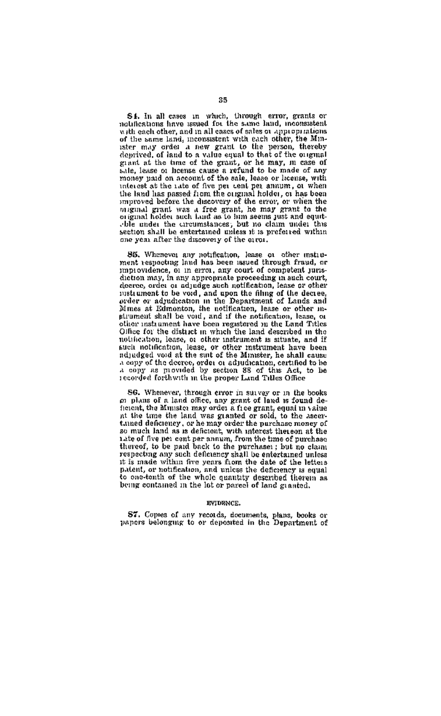S.I. In all cases in which, through error, grants or<br>notifications have usued for the same huid, inconsistent numerous anve assess to the same mud, inconsistent<br>with each other, and in all cases of sales or approprations<br>of the same land, montastent with each other, the Min-<br>ister may order a new grant to the person, thereby deprived, of land to a value equal to that of the original expant at the time of the grant, or he may, in case of<br>sale, lasse or heemse cause a refund to be made of any<br>money paid on account of the sale, lease or iccense, with money unad on account of the sale, lease or iccuse, with the understanding in the land has passed from the original holder, or has been improved before the data parameter of the error, or when the original gradi was a free oble under the circumstances; but no claim under the section shall be entertained unless it is preferred within one year after the discovery of the error.

86. Whenever any notification, lease or other matro-ment respecting land has been issued through fraud, or manovidence, or in error, any court of competent jurisdiction may, in any appropriate proceeding in such court. deeree, order or adjudge such notification, lease or other neered, order or adjudge such notification, rease or others<br>instrument to be void, and upon the filing of the decree,<br>over or adjudication in the Department of Lands and<br>Mines at Edmonton, the notification, lease or other strument shall be void, and if the notification, lease, or other instrument have been registered in the Land Titles Office for the district in which the land described in the notification, lease, or other instrument is situate, and if such notification, lease, or other matriment have been auca notuscation, mase, or other matriment nave seem a copy of the decree, order or adjudication, certified to be a copy of the decree, order or adjudication, certified to be recorded forthwith in the proper Land Titles Office

SG. Whenever, through error in survey or in the books of plans of a land office, any grant of land is found deto pusse on a man omen, any price a free grant, equal in value at the time the land was granted or sold, to the assertance deficiency, or he may order the pusture of the assertance of the assertance of the procedure of the and the of five per cont per annum, from the time of purchase<br>thereof, to be paid back to the purchase: : but no claim respecting any such defletency shall be entertained unless it is made within five years from the date of the letters patent, or notification, and unless the deficiency is equal to one-tenth of the whole quantity described therein as being contained in the lot or parcel of land granted.

#### **INTERNATE**

S7. Copies of any records, decuments, plans, books or papers belonging to or deposited in the Department of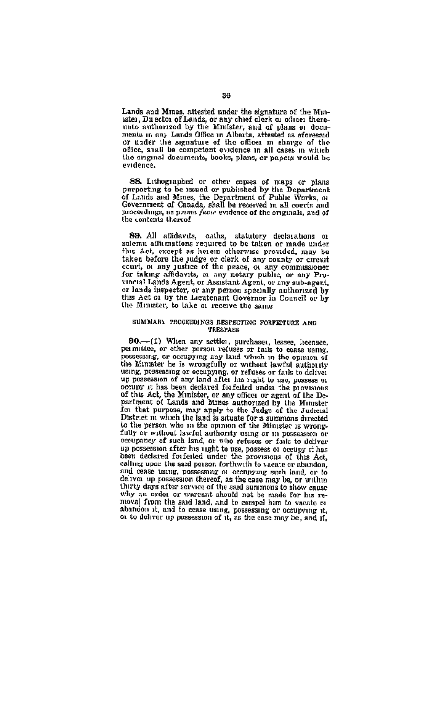Lands and Mines, attested under the signature of the Minnaises and primes, accessor maker our signature of the still-<br>ister, Duestor of Lands, or any chief clerk or office: there ments in any Lands Office in Albarta, attested as aforesaid or under the signature of the officer in charge of the office, shall be competent evidence in all cases in which the original documents, books, plans, or papers would be evidence.

88. Lathographed or other gapes of mans or plans our same papers or our college or naps or plans<br>of Labis and Mines, the Department of Public Works, or<br>Government of Canada, shall be received in all courts and proceedings, as prime factor evidence of the priminals, and of the contents thereof

SD. All affidavits, caths, statutory declarations or solemn affirmations required to be taken or made under this Act, except as herein otherwise provided, may be court, or any justice of the peace, or any country or countervincial Lands Agent, or Assistant Agent, or any cub-sceni. or lands inspector, or any person specially authorized by this Act or by the Lieutenant Governor in Council or by the Minister, to take or receive the same

#### SUMMARY PROCEEDINGS RESPECTING FORFEITURE AND TRESPARS

90.-(1) When any settler, purchases, lessee, heensee, permittee, or other person refuses or fails to coase using, possessing, or occupying any land which in the opinion of using, possessing or occupying, or refuses or fails to deliver occupy it has been declared forfeited under the provisions becupy it may been users a contained must the provisions of this Act, the Dimitster, or any offices or agent of the De-<br>partment of Lands and Mines authorized by the Minister<br>for that purpose, may apply to the Judge of the District in which the land is artuate for a summons directed to the person who in the opinion of the Minister is wrong-<br>fully or without lawful authority using or in possession or occupancy of such land, or who refuses or fails to deliver on possession after his unit to use, possession after his unit to use or compart has calling upon the said person forthwith to vacate or abundon. calling upon the said peaks for<br>thwist to secarce or abundant, and cease unit and cease using, posses<br>and cease the case of the same may be, or variance through the cluster<br>in procession thereof, as the case may be, or va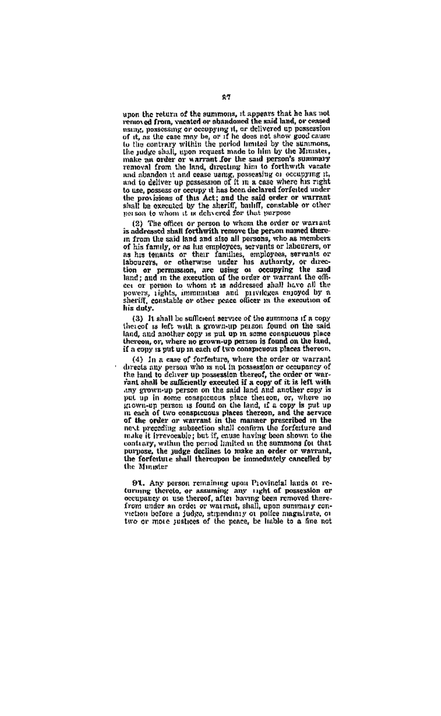unon the return of the summons, it appears that he has not upon the return of the summons, it appears that he has not<br>renoved from, vacated or shandomed the said land, or ecased<br>using, possessing or occupying ri, or delivered up possession<br>of it, as the case may be, or if he does or is, as use vete may be, or it no uses not show good cause.<br>to the contrary within the poriod bunited by the Einmons.<br>the judge shall, upon request made to him by the Minister. make an order or warrant for the said person's summary and abandon it and cease using, possessing or occupying it, and to deliver up possession of it in a case where his right to use, possess or occupy it has been declared forfeited under to use, peasess or occupy it may been useful corrected model<br>shall be executed by the abstriff, butiff, constable or other<br>shall be executed by the abstriff, butiff, constable or other<br>peases to whom it as delayered for th

(2) The offices or person to whom the order or warrant is addressed shall forthwith remove the person named therein from the said land and also all persons, who as members of his family, or as las employees, servants or labelizers, or<br>as his tenants or their families, employees, servants or<br>labelizers, or otherwise under his authority, or direction or permission, are using or occupying the said cet or person to whom it is addressed shall have all the powers, rights, immenties and privileges enjoyed by a his duty.

(3) It shall be sufficient service of the summons if a copy thereof is left with a grown-up person found on the said land, and another opty is put up in some complete the said if a copy is put up in each of two conspecious places thereon.

(4) In a case of forferture, where the order or warrant directs any person who is not in possession or company of<br>directs any person who is not in possession thereof, the order or warrant shall be sufficiently executed if a copy of it is left with any grown-up person on the said land and another copy is The set of two conspicuous place the set of our where no<br>grown-up passes also the set of the set of two conspicuous places that a copy is put up<br>in each of two conspicuous places thereon, and the service of the order or warrant in the manner prescribed in the<br>next preceding subsection shall confirm the forferture and move presence parameters and commutation of the intervention of the contrary, within the period limited in the summons for that contrary, within the period limited in the summons for that the purpose, the justice to meete the Minister

91. Any person remaining upon Provincial lands of re-<br>turning thereto, or assuming any right of possession or<br>eccapancy or use thereof, after having been removed therefrom under an order or warrant, shall, upon summary convection before a judge, strpendinty of police magnitute, or two or more sustrees of the neace. be liable to a fine not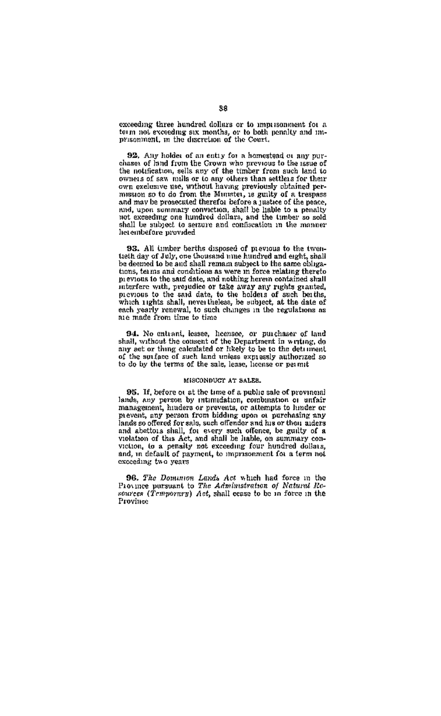exceeding three hundred dollars or to immusonment for a cacesaing unser numerou consers or to improbament for a<br>term not exceeding six months, or to both penalty and mi-

92. Any holder of an entry for a homestead or any purchases of land from the Grown who previous to the issue of the notification, sells any of the timber from such land to owners of saw mile or to any others than settlers for their owners or saw minis or to any others than settlers for their<br>mission so to do from the Mutuay proviously obtained permission so to do rrom me minimer, is guing or a magnee one move to profeculture untrinsity contrast a justified to a penalty chief, upon summary control and the light to a penalty control and it is not in the timber shall be subject to seraure and confiscation in the manner lietembefore provided

93. All timber berths disposed of previous to the twentieth day of July, one thousand unter hundred and eight, shall be deemed to be and shall remain subject to the same chinestions, terms and conditions as were in force relating thereto previous to the said date, and nothing herein contained shall previous to the search and motion and motion and methods of such that increase of the sead data, to the holders of such beaths, which inglust shall, nevertheless, be subject, at the date of such beaths, which inglus shall, nie made from time to time

94. No entrant, lessee, homsee, or purchaser of land shall, without the consent of the Department in writing, do any act or thing calculated or likely to be to the detriment of the surface of such land unless expression at horizont so

#### MISCONDUCT AT SALES.

95. If, before or at the time of a public sale of provincial lands, any person by intimidation, combination or unfair<br>management, hinders or prevents, or attempts to hinder or prevent, any person from bidding upon or purchasing any lands so offered for sale, such offender and his or their aiders and abettois shall, for every such offence, be guilty of a violation of this Act, and shall be liable, on summary conviolation, to a penalty not exceeding four hundred dollars, and, in default of payment, to imprisonment for a term not exceeding two years

96. The Dominion Lawls Act which had force in the Province parameter The Administration of Natural Resources (Temporary) Act, shall cease to be in force in the Province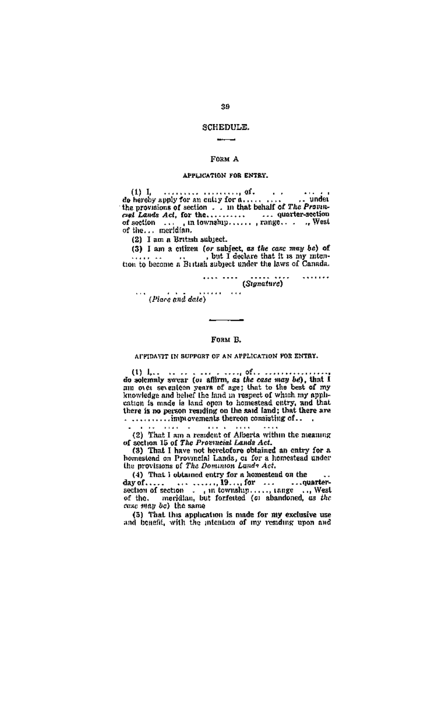## **SCHEDULE**  $rac{1}{2}$

#### **Royal A**

### APPLICATION FOR ENTRY.

 $\begin{minipage}{0.9\textwidth} \begin{minipage}{0.9\textwidth} \begin{minipage}{0.9\textwidth} \begin{minipage}{0.9\textwidth} \begin{minipage}{0.9\textwidth} \begin{minipage}{0.9\textwidth} \begin{minipage}{0.9\textwidth} \begin{minipage}{0.9\textwidth} \begin{minipage}{0.9\textwidth} \begin{minipage}{0.9\textwidth} \begin{minipage}{0.9\textwidth} \begin{minipage}{0.9\textwidth} \begin{minipage}{0.9\textwidth} \begin{minipage}{0.9\textwidth} \begin{minipage}{0.9\textwidth} \begin{minipage}{0.9$ 

(2) I am a British subject.

 $(3)$  I am a citizen for subject, as the case may be) of but I declare that it is my mit-

 $\dots \dots \dots$  (Signature)  $1.1.1.1.1$ (Place and date) . . . . . . . . . .

## $\sim$ **FORM B.**

#### AUPIDANT IN SUPPORT OF AN APPLICATION FOR ENTRY.

(1)  $\mu_{11}$ , we can consider the action of  $\alpha$  in the case may be solven as an one are sensition as the case may be a small that an one of the sensition and the sensition of the sensitive sensitive sensitive sensitive s

 $\cdot$   $\cdot$  $\cdots$  $\cdots$ 

(2) That I am a resident of Alberta within the meaning of section 15 of The Provincial Lands Act.<br>
(3) That I have not heretofore obtained an entry for a

homestond on Provincial Lands, or for a homestead under<br>the provisions of The Dominion Lands Act.

case may be) the same

(5) That this application is made for my exclusive use<br>and benefit, with the intention of my residing upon and

## $\alpha$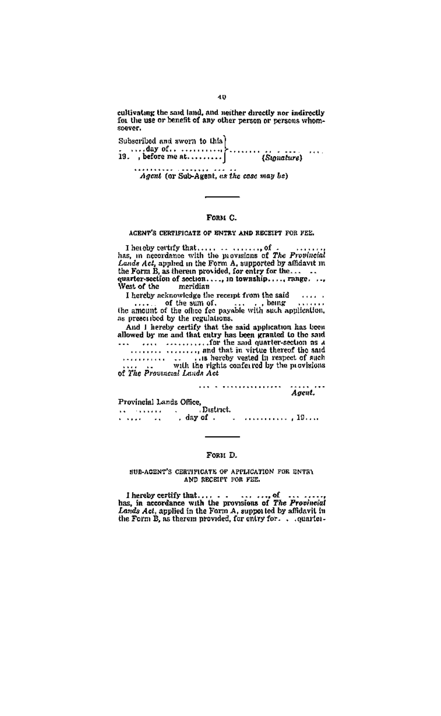cultivating the said land, and neither directly nor indirectly<br>for the use or benefit of any other person or persons whomconver-

Subscribed and swern to this) subsection this seven we have the contract of the contract of the contract of the contract of the contract of the contract of the contract of the contract of the contract of the contract of the contract of the contract of

Agent (or Sub-Agent, as the case may be)

## **Говы С.**

#### ACRNY'S CERTIFICATE OF ENTRY AND RECEIPT FOR FEE.

I hereby certrify that,  $\ldots$ ,  $\ldots$ ,  $\ldots$ ,  $\ldots$ ,  $\ldots$ ,  $\ldots$ , has, in accordance with the provesions of The Propincial interferent by affident in the form B, as therein provided, for entry for the  $\ldots$  and the Form B

I hereby acknowledge the recept from the said  $\ldots$ .

as preseribed by the regulations.

as presention day the regulations.<br>
And I hereby certify that the said application has been<br>
allowed by me and that entry thus been granted to the said<br>
allowed by the same day of the same day of the same day of the same<br>

... . .............. . Agent.

Provincial Lands Office, District. 

## Fost D

#### SUB-ACENT'S CERTIFICATE OF APPLICATION FOR ENTRY AND ORCHES TO STREET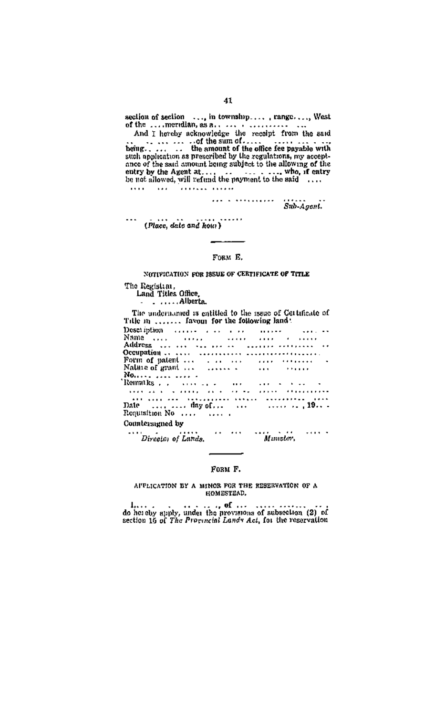section of section  $\ldots$ , in township...., range..., West<br>of the  $\ldots$ , mercian, as a...  $\ldots$ ,  $\ldots$ ,  $\ldots$ ,  $\ldots$ , the set<br> $\ldots$  and  $\ldots$  exhaust excluding the receipt from the set<br> $\ldots$ ,  $\ldots$  of the sum of  $\ldots$ . The ance of the suid amount being subject to the allowing of the ... who, if entry 

...<br>(Place, date and how) . . . . . .

## Form R

NOTIFICATION FOR ISSUE OF CERTIFICATE OF TITLE

The Registrar,<br>Land Titles Office. Alberta

The undernamed is entitled to the issue of Gettificate of Title in  $\ldots$  favour for the following land:

| Description and a contract the contract of the                                         |  |  |  |  |  |  |  |  |  |  |  |           |  |  |  |   |  |  |
|----------------------------------------------------------------------------------------|--|--|--|--|--|--|--|--|--|--|--|-----------|--|--|--|---|--|--|
| Name                                                                                   |  |  |  |  |  |  |  |  |  |  |  |           |  |  |  |   |  |  |
|                                                                                        |  |  |  |  |  |  |  |  |  |  |  |           |  |  |  |   |  |  |
|                                                                                        |  |  |  |  |  |  |  |  |  |  |  |           |  |  |  |   |  |  |
| Form of patent                                                                         |  |  |  |  |  |  |  |  |  |  |  |           |  |  |  |   |  |  |
| Nature of grant                                                                        |  |  |  |  |  |  |  |  |  |  |  |           |  |  |  |   |  |  |
| No   .                                                                                 |  |  |  |  |  |  |  |  |  |  |  |           |  |  |  |   |  |  |
|                                                                                        |  |  |  |  |  |  |  |  |  |  |  |           |  |  |  |   |  |  |
| station is a complete to the complete than more                                        |  |  |  |  |  |  |  |  |  |  |  |           |  |  |  |   |  |  |
| and come and construction intern accounting their                                      |  |  |  |  |  |  |  |  |  |  |  |           |  |  |  |   |  |  |
| Date $\ldots$ $\ldots$ day of $\ldots$ $\ldots$ $\ldots$ $\ldots$ $\ldots$ 19 $\ldots$ |  |  |  |  |  |  |  |  |  |  |  |           |  |  |  |   |  |  |
| Requisition No                                                                         |  |  |  |  |  |  |  |  |  |  |  |           |  |  |  |   |  |  |
| Countersumed by                                                                        |  |  |  |  |  |  |  |  |  |  |  |           |  |  |  |   |  |  |
| <br>Director of Lands.                                                                 |  |  |  |  |  |  |  |  |  |  |  | Missator. |  |  |  | . |  |  |

## **State Street** FORM F.

AFFLICATION BY A MINOR FOR THE RESERVATION OF A HOMESTIAD.

 $1, \ldots$ , of  $\ldots$  of  $\ldots$  of  $\ldots$  of absociation (2) of do hot show that the provisions of subsection (2) of section 16 of The Proponetal Landy Act, for the reservation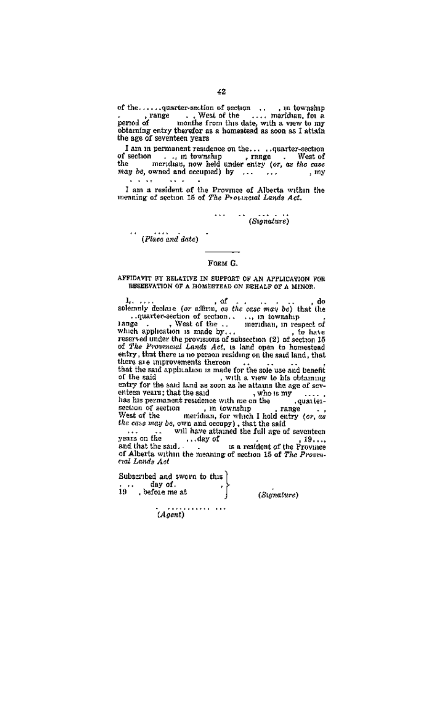the age of seventeen years

I am m permanent residence on the... ..quarter-section I am in permanent residence on the.... ..quarter-section<br>of section ..., in township , reages. West of<br>the meridian, now held under entry (or, as the case<br>way be, owned and accupied) by ... ... ... , my 5. . <sup>1</sup>. . .  $\cdots$ 

I am a resident of the Province of Alberta within the<br>meaning of section 16 of The Provinced Lands Act

 $\cdots$   $\cdots$  (Signature)

 $\therefore$  (Place and date)

## FORM G.

AFFIDAVIT BY RELATIVE IN SUPPORT OF AN APPLICATION FOR RESERVATION OF A HOMESTEAD ON REHALF OF A MINOR.

 $1, \ldots, 0$  delay (or affirm, as the case may be) that the that the said application is made for the sole use and benefit of the said , with a view to his obtaining of the said ind as soon as he attains the age of sev-<br>untry for the said land as soon as he attains the age of seventy for the said land as soon as he statum the sage of several<br>entern vears; that the said  $\sim$  who is my<br>since with me on the  $\sim$  quarket<br>section of section . In township . range<br>where of the construction of the sectio

years on the winnings of the resident of the Province<br>and that the said... day of the Province of Alberta within the meaning of section 15 of The Provincal Lands Ant

Spharabed and aware to this sussex new and over<br>19 before me at

(Sumature)

 $\cdots$ . . . . . . . . . . . (Agent)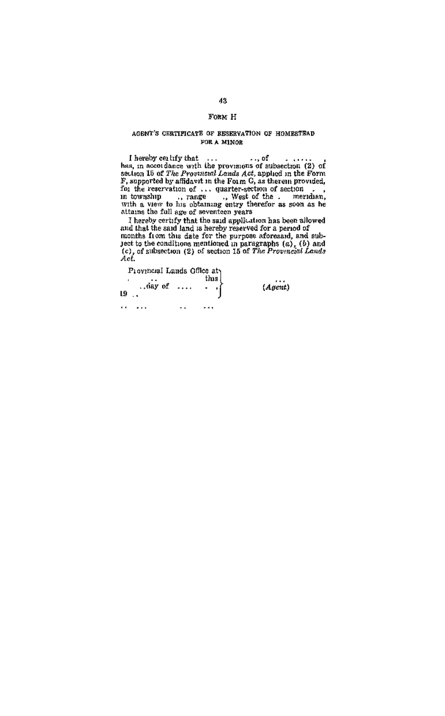## FORM H

#### AGENT'S CERTIFICATE OF RESERVATION OF HOMESTEAD FOR A MINOR

I hereby eating that the proveness of a<br>shocker (2) of  $\mu_{\rm b}$  has an about factor of the state<br> $\Omega$  of  $\mu_{\rm b}$  and the contribution of the<br>state of the state of the state of  $\mu_{\rm b}$  and<br>posted by affident in the Fo

causing tan full age of soverticen years  $\cdots$  is  $\cdots$  in the solve erisfy that the said application has been allowed for a send of months from the acte of the purple softeness of and sub-<br>pack to the same part of the st

| Provincial Lands Glilee at | thus I |         |
|----------------------------|--------|---------|
| day of<br>L9               | ٠      | (Asent) |
|                            |        |         |